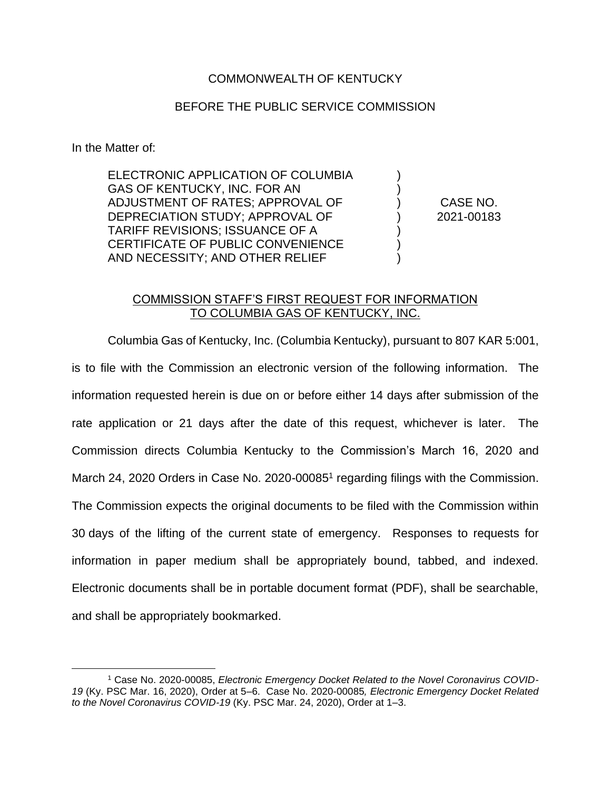### COMMONWEALTH OF KENTUCKY

#### BEFORE THE PUBLIC SERVICE COMMISSION

In the Matter of:

ELECTRONIC APPLICATION OF COLUMBIA GAS OF KENTUCKY, INC. FOR AN ADJUSTMENT OF RATES; APPROVAL OF DEPRECIATION STUDY; APPROVAL OF TARIFF REVISIONS; ISSUANCE OF A CERTIFICATE OF PUBLIC CONVENIENCE AND NECESSITY; AND OTHER RELIEF

CASE NO. 2021-00183

) ) ) ) ) ) )

#### COMMISSION STAFF'S FIRST REQUEST FOR INFORMATION TO COLUMBIA GAS OF KENTUCKY, INC.

Columbia Gas of Kentucky, Inc. (Columbia Kentucky), pursuant to 807 KAR 5:001, is to file with the Commission an electronic version of the following information. The information requested herein is due on or before either 14 days after submission of the rate application or 21 days after the date of this request, whichever is later. The Commission directs Columbia Kentucky to the Commission's March 16, 2020 and March 24, 2020 Orders in Case No. 2020-00085<sup>1</sup> regarding filings with the Commission. The Commission expects the original documents to be filed with the Commission within 30 days of the lifting of the current state of emergency. Responses to requests for information in paper medium shall be appropriately bound, tabbed, and indexed. Electronic documents shall be in portable document format (PDF), shall be searchable, and shall be appropriately bookmarked.

<sup>1</sup> Case No. 2020-00085, *Electronic Emergency Docket Related to the Novel Coronavirus COVID-19* (Ky. PSC Mar. 16, 2020), Order at 5–6. Case No. 2020-00085*, Electronic Emergency Docket Related to the Novel Coronavirus COVID-19* (Ky. PSC Mar. 24, 2020), Order at 1–3.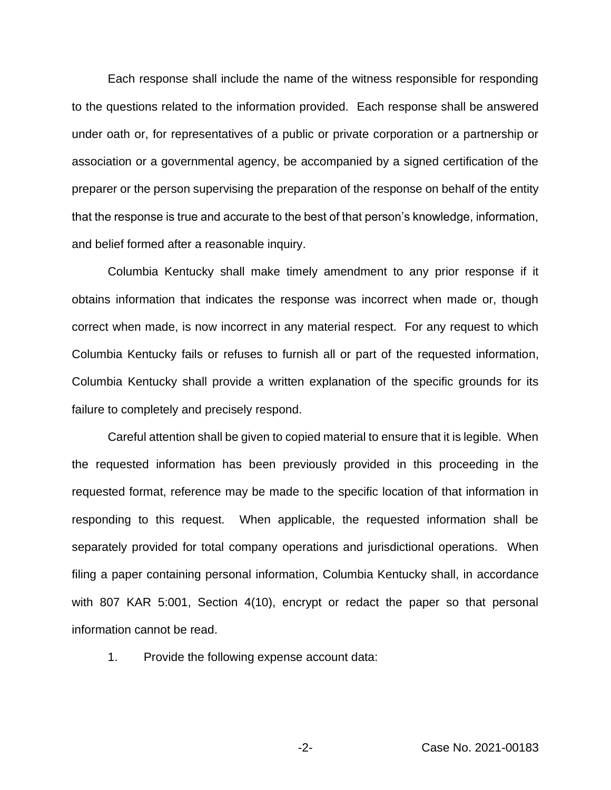Each response shall include the name of the witness responsible for responding to the questions related to the information provided. Each response shall be answered under oath or, for representatives of a public or private corporation or a partnership or association or a governmental agency, be accompanied by a signed certification of the preparer or the person supervising the preparation of the response on behalf of the entity that the response is true and accurate to the best of that person's knowledge, information, and belief formed after a reasonable inquiry.

Columbia Kentucky shall make timely amendment to any prior response if it obtains information that indicates the response was incorrect when made or, though correct when made, is now incorrect in any material respect. For any request to which Columbia Kentucky fails or refuses to furnish all or part of the requested information, Columbia Kentucky shall provide a written explanation of the specific grounds for its failure to completely and precisely respond.

Careful attention shall be given to copied material to ensure that it is legible. When the requested information has been previously provided in this proceeding in the requested format, reference may be made to the specific location of that information in responding to this request. When applicable, the requested information shall be separately provided for total company operations and jurisdictional operations. When filing a paper containing personal information, Columbia Kentucky shall, in accordance with 807 KAR 5:001, Section 4(10), encrypt or redact the paper so that personal information cannot be read.

1. Provide the following expense account data: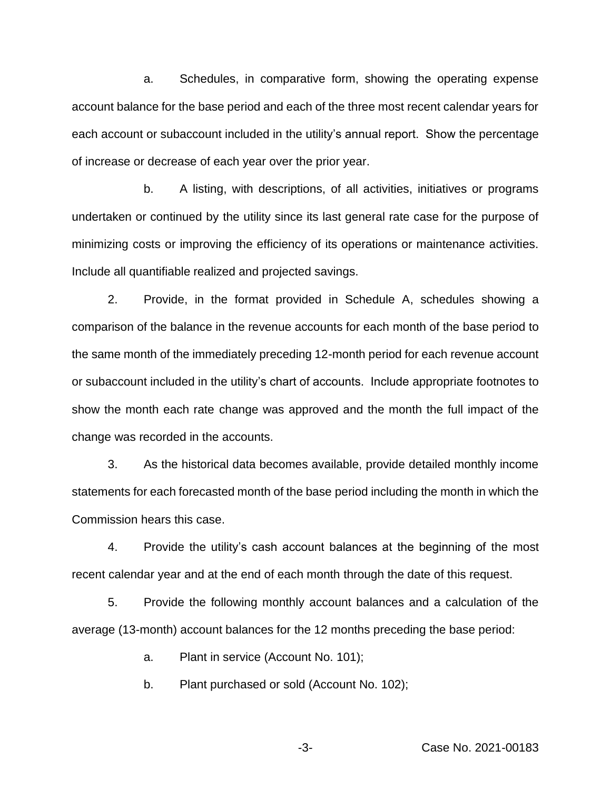a. Schedules, in comparative form, showing the operating expense account balance for the base period and each of the three most recent calendar years for each account or subaccount included in the utility's annual report. Show the percentage of increase or decrease of each year over the prior year.

b. A listing, with descriptions, of all activities, initiatives or programs undertaken or continued by the utility since its last general rate case for the purpose of minimizing costs or improving the efficiency of its operations or maintenance activities. Include all quantifiable realized and projected savings.

2. Provide, in the format provided in Schedule A, schedules showing a comparison of the balance in the revenue accounts for each month of the base period to the same month of the immediately preceding 12-month period for each revenue account or subaccount included in the utility's chart of accounts. Include appropriate footnotes to show the month each rate change was approved and the month the full impact of the change was recorded in the accounts.

3. As the historical data becomes available, provide detailed monthly income statements for each forecasted month of the base period including the month in which the Commission hears this case.

4. Provide the utility's cash account balances at the beginning of the most recent calendar year and at the end of each month through the date of this request.

5. Provide the following monthly account balances and a calculation of the average (13-month) account balances for the 12 months preceding the base period:

a. Plant in service (Account No. 101);

b. Plant purchased or sold (Account No. 102);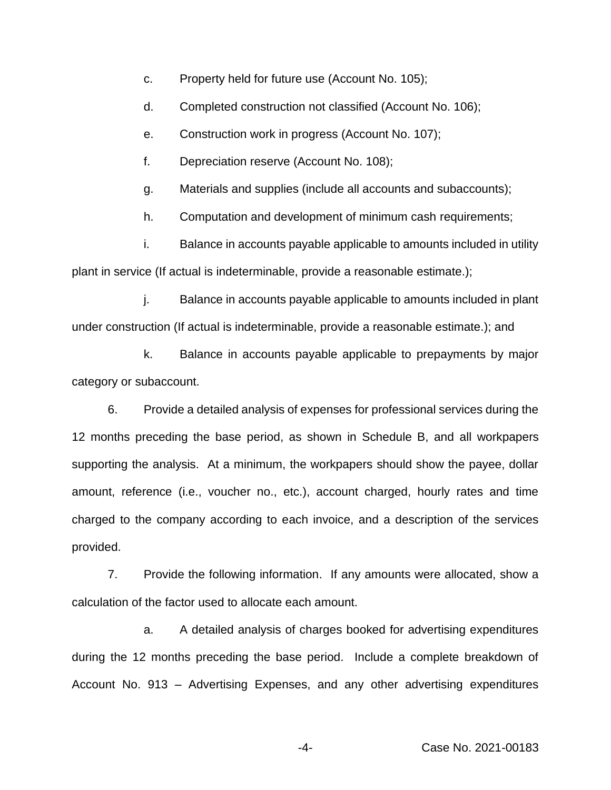- c. Property held for future use (Account No. 105);
- d. Completed construction not classified (Account No. 106);
- e. Construction work in progress (Account No. 107);
- f. Depreciation reserve (Account No. 108);
- g. Materials and supplies (include all accounts and subaccounts);
- h. Computation and development of minimum cash requirements;

i. Balance in accounts payable applicable to amounts included in utility plant in service (If actual is indeterminable, provide a reasonable estimate.);

j. Balance in accounts payable applicable to amounts included in plant under construction (If actual is indeterminable, provide a reasonable estimate.); and

k. Balance in accounts payable applicable to prepayments by major category or subaccount.

6. Provide a detailed analysis of expenses for professional services during the 12 months preceding the base period, as shown in Schedule B, and all workpapers supporting the analysis. At a minimum, the workpapers should show the payee, dollar amount, reference (i.e., voucher no., etc.), account charged, hourly rates and time charged to the company according to each invoice, and a description of the services provided.

7. Provide the following information. If any amounts were allocated, show a calculation of the factor used to allocate each amount.

a. A detailed analysis of charges booked for advertising expenditures during the 12 months preceding the base period. Include a complete breakdown of Account No. 913 – Advertising Expenses, and any other advertising expenditures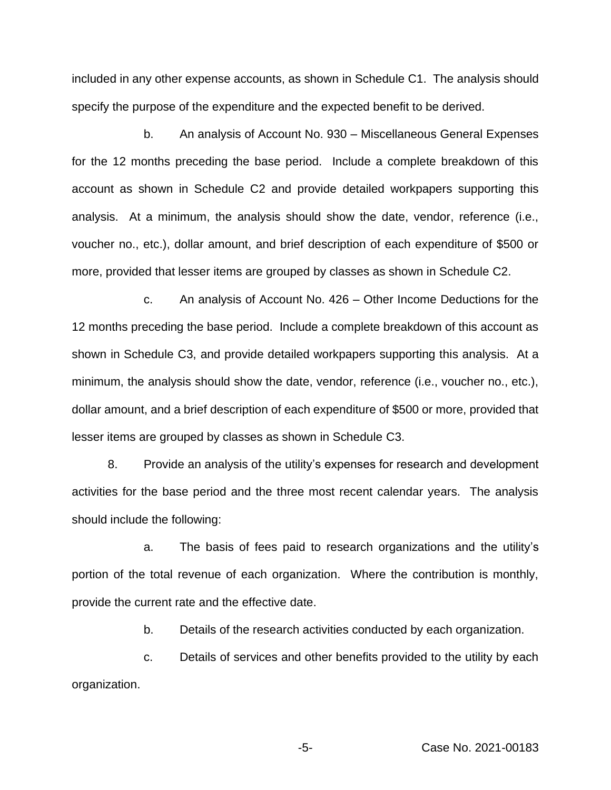included in any other expense accounts, as shown in Schedule C1. The analysis should specify the purpose of the expenditure and the expected benefit to be derived.

b. An analysis of Account No. 930 – Miscellaneous General Expenses for the 12 months preceding the base period. Include a complete breakdown of this account as shown in Schedule C2 and provide detailed workpapers supporting this analysis. At a minimum, the analysis should show the date, vendor, reference (i.e., voucher no., etc.), dollar amount, and brief description of each expenditure of \$500 or more, provided that lesser items are grouped by classes as shown in Schedule C2.

c. An analysis of Account No. 426 – Other Income Deductions for the 12 months preceding the base period. Include a complete breakdown of this account as shown in Schedule C3, and provide detailed workpapers supporting this analysis. At a minimum, the analysis should show the date, vendor, reference (i.e., voucher no., etc.), dollar amount, and a brief description of each expenditure of \$500 or more, provided that lesser items are grouped by classes as shown in Schedule C3.

8. Provide an analysis of the utility's expenses for research and development activities for the base period and the three most recent calendar years. The analysis should include the following:

a. The basis of fees paid to research organizations and the utility's portion of the total revenue of each organization. Where the contribution is monthly, provide the current rate and the effective date.

b. Details of the research activities conducted by each organization.

c. Details of services and other benefits provided to the utility by each organization.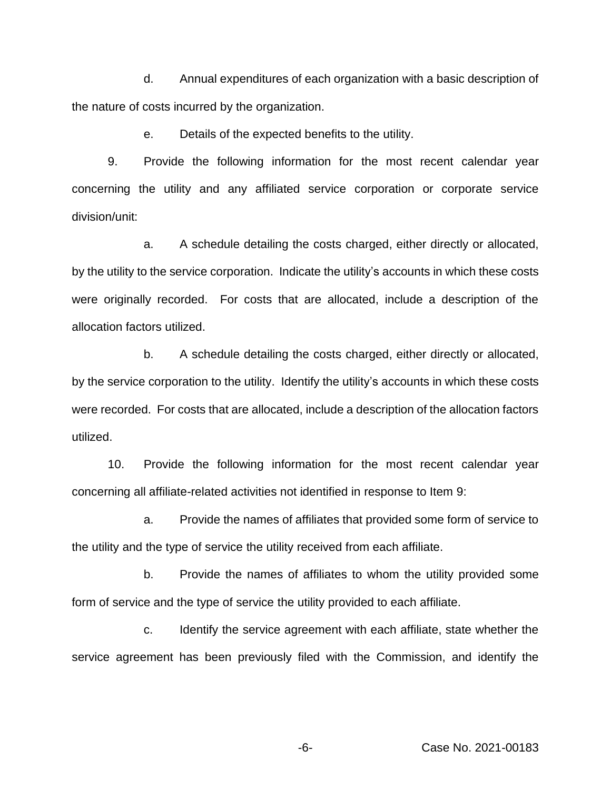d. Annual expenditures of each organization with a basic description of the nature of costs incurred by the organization.

e. Details of the expected benefits to the utility.

9. Provide the following information for the most recent calendar year concerning the utility and any affiliated service corporation or corporate service division/unit:

a. A schedule detailing the costs charged, either directly or allocated, by the utility to the service corporation. Indicate the utility's accounts in which these costs were originally recorded. For costs that are allocated, include a description of the allocation factors utilized.

b. A schedule detailing the costs charged, either directly or allocated, by the service corporation to the utility. Identify the utility's accounts in which these costs were recorded. For costs that are allocated, include a description of the allocation factors utilized.

10. Provide the following information for the most recent calendar year concerning all affiliate-related activities not identified in response to Item 9:

a. Provide the names of affiliates that provided some form of service to the utility and the type of service the utility received from each affiliate.

b. Provide the names of affiliates to whom the utility provided some form of service and the type of service the utility provided to each affiliate.

c. Identify the service agreement with each affiliate, state whether the service agreement has been previously filed with the Commission, and identify the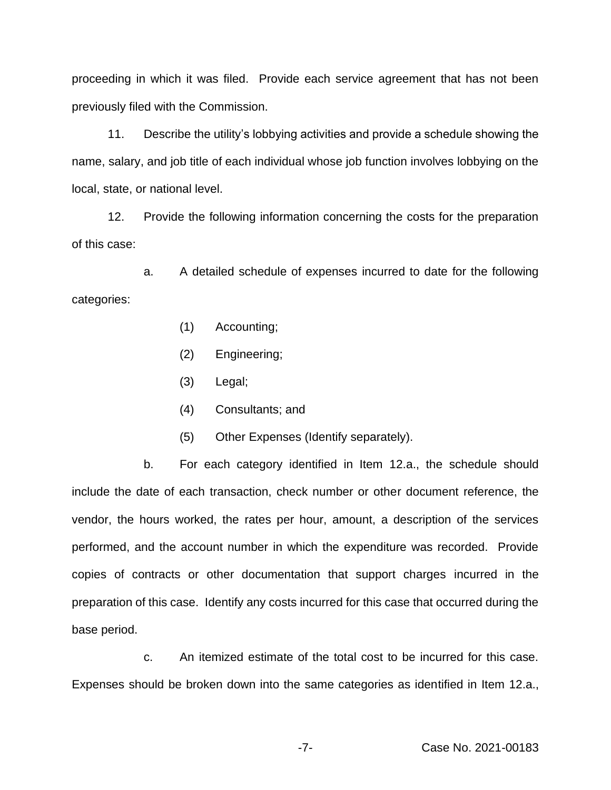proceeding in which it was filed. Provide each service agreement that has not been previously filed with the Commission.

11. Describe the utility's lobbying activities and provide a schedule showing the name, salary, and job title of each individual whose job function involves lobbying on the local, state, or national level.

12. Provide the following information concerning the costs for the preparation of this case:

a. A detailed schedule of expenses incurred to date for the following categories:

- (1) Accounting;
- (2) Engineering;
- (3) Legal;
- (4) Consultants; and
- (5) Other Expenses (Identify separately).

b. For each category identified in Item 12.a., the schedule should include the date of each transaction, check number or other document reference, the vendor, the hours worked, the rates per hour, amount, a description of the services performed, and the account number in which the expenditure was recorded. Provide copies of contracts or other documentation that support charges incurred in the preparation of this case. Identify any costs incurred for this case that occurred during the base period.

c. An itemized estimate of the total cost to be incurred for this case. Expenses should be broken down into the same categories as identified in Item 12.a.,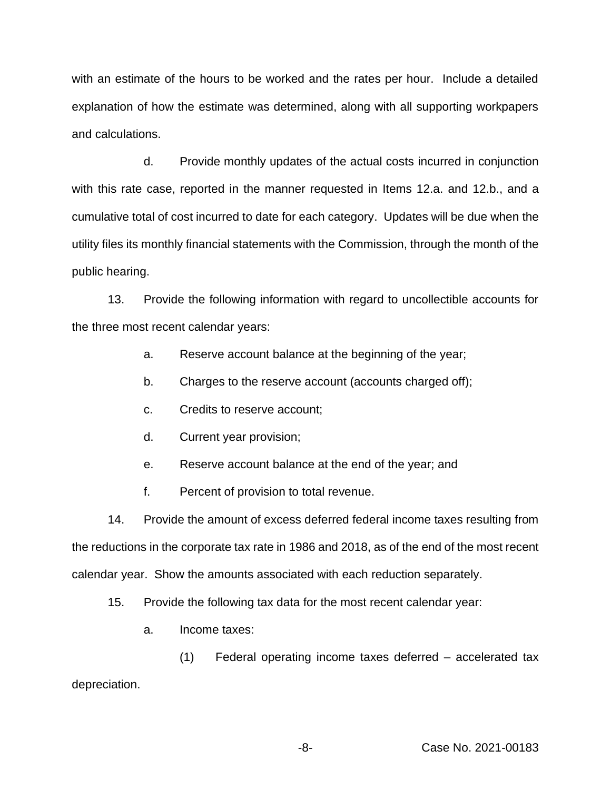with an estimate of the hours to be worked and the rates per hour. Include a detailed explanation of how the estimate was determined, along with all supporting workpapers and calculations.

d. Provide monthly updates of the actual costs incurred in conjunction with this rate case, reported in the manner requested in Items 12.a. and 12.b., and a cumulative total of cost incurred to date for each category. Updates will be due when the utility files its monthly financial statements with the Commission, through the month of the public hearing.

13. Provide the following information with regard to uncollectible accounts for the three most recent calendar years:

- a. Reserve account balance at the beginning of the year;
- b. Charges to the reserve account (accounts charged off);
- c. Credits to reserve account;
- d. Current year provision;
- e. Reserve account balance at the end of the year; and
- f. Percent of provision to total revenue.

14. Provide the amount of excess deferred federal income taxes resulting from the reductions in the corporate tax rate in 1986 and 2018, as of the end of the most recent calendar year. Show the amounts associated with each reduction separately.

- 15. Provide the following tax data for the most recent calendar year:
	- a. Income taxes:

(1) Federal operating income taxes deferred – accelerated tax depreciation.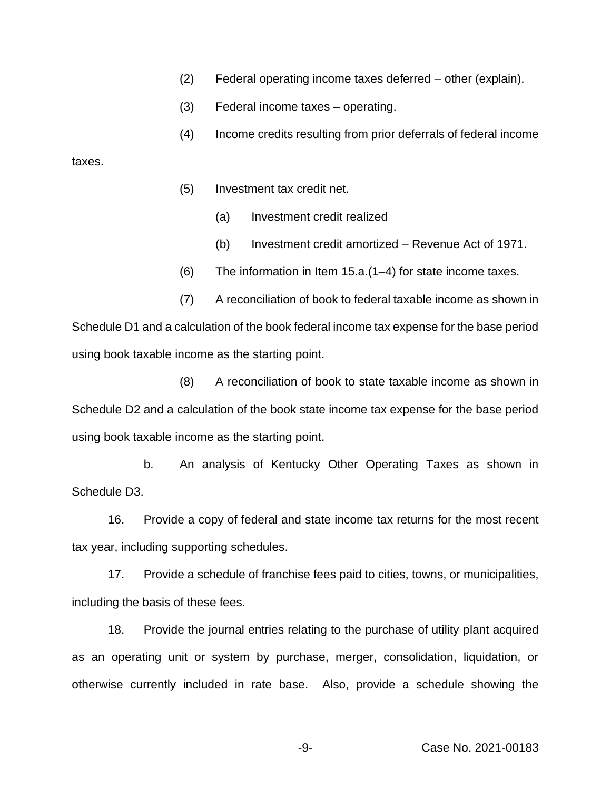- (2) Federal operating income taxes deferred other (explain).
- (3) Federal income taxes operating.
- (4) Income credits resulting from prior deferrals of federal income

taxes.

- (5) Investment tax credit net.
	- (a) Investment credit realized
	- (b) Investment credit amortized Revenue Act of 1971.
- (6) The information in Item 15.a.(1–4) for state income taxes.

(7) A reconciliation of book to federal taxable income as shown in Schedule D1 and a calculation of the book federal income tax expense for the base period using book taxable income as the starting point.

(8) A reconciliation of book to state taxable income as shown in Schedule D2 and a calculation of the book state income tax expense for the base period using book taxable income as the starting point.

b. An analysis of Kentucky Other Operating Taxes as shown in Schedule D3.

16. Provide a copy of federal and state income tax returns for the most recent tax year, including supporting schedules.

17. Provide a schedule of franchise fees paid to cities, towns, or municipalities, including the basis of these fees.

18. Provide the journal entries relating to the purchase of utility plant acquired as an operating unit or system by purchase, merger, consolidation, liquidation, or otherwise currently included in rate base. Also, provide a schedule showing the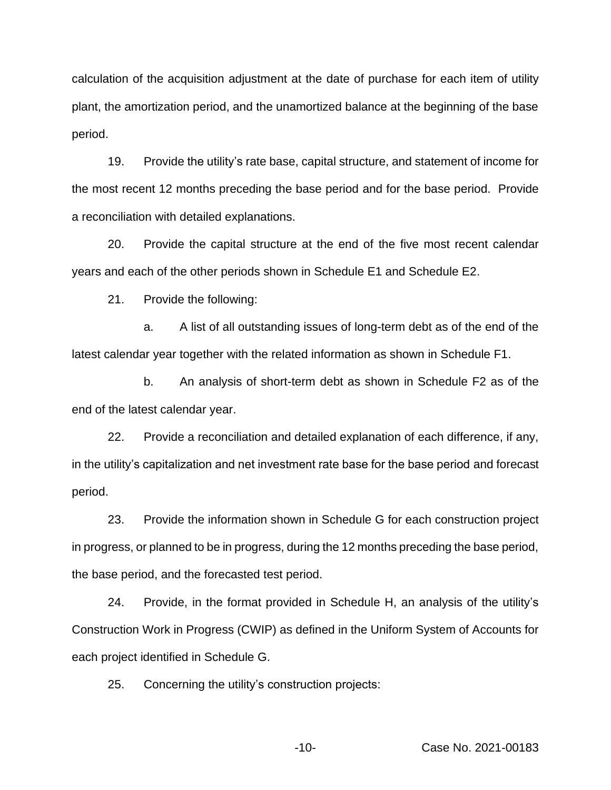calculation of the acquisition adjustment at the date of purchase for each item of utility plant, the amortization period, and the unamortized balance at the beginning of the base period.

19. Provide the utility's rate base, capital structure, and statement of income for the most recent 12 months preceding the base period and for the base period. Provide a reconciliation with detailed explanations.

20. Provide the capital structure at the end of the five most recent calendar years and each of the other periods shown in Schedule E1 and Schedule E2.

21. Provide the following:

a. A list of all outstanding issues of long-term debt as of the end of the latest calendar year together with the related information as shown in Schedule F1.

b. An analysis of short-term debt as shown in Schedule F2 as of the end of the latest calendar year.

22. Provide a reconciliation and detailed explanation of each difference, if any, in the utility's capitalization and net investment rate base for the base period and forecast period.

23. Provide the information shown in Schedule G for each construction project in progress, or planned to be in progress, during the 12 months preceding the base period, the base period, and the forecasted test period.

24. Provide, in the format provided in Schedule H, an analysis of the utility's Construction Work in Progress (CWIP) as defined in the Uniform System of Accounts for each project identified in Schedule G.

25. Concerning the utility's construction projects: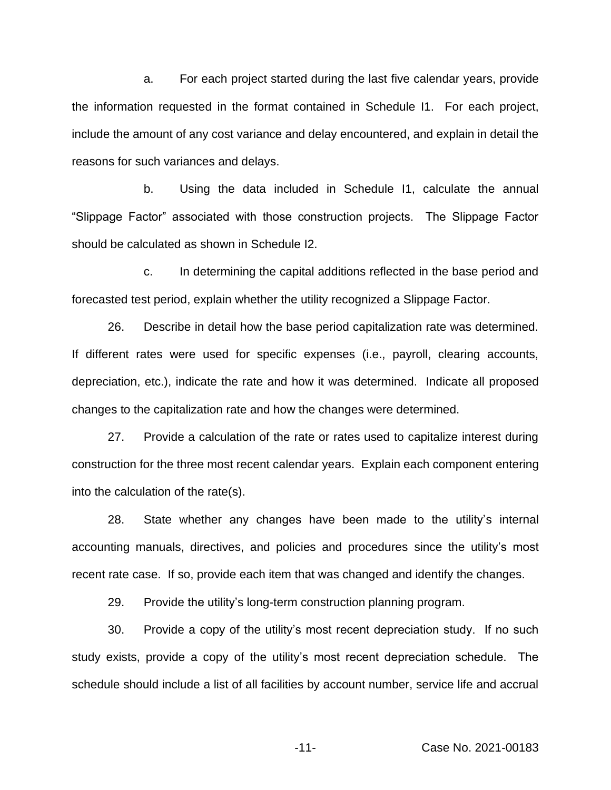a. For each project started during the last five calendar years, provide the information requested in the format contained in Schedule I1. For each project, include the amount of any cost variance and delay encountered, and explain in detail the reasons for such variances and delays.

b. Using the data included in Schedule I1, calculate the annual "Slippage Factor" associated with those construction projects. The Slippage Factor should be calculated as shown in Schedule I2.

c. In determining the capital additions reflected in the base period and forecasted test period, explain whether the utility recognized a Slippage Factor.

26. Describe in detail how the base period capitalization rate was determined. If different rates were used for specific expenses (i.e., payroll, clearing accounts, depreciation, etc.), indicate the rate and how it was determined. Indicate all proposed changes to the capitalization rate and how the changes were determined.

27. Provide a calculation of the rate or rates used to capitalize interest during construction for the three most recent calendar years. Explain each component entering into the calculation of the rate(s).

28. State whether any changes have been made to the utility's internal accounting manuals, directives, and policies and procedures since the utility's most recent rate case. If so, provide each item that was changed and identify the changes.

29. Provide the utility's long-term construction planning program.

30. Provide a copy of the utility's most recent depreciation study. If no such study exists, provide a copy of the utility's most recent depreciation schedule. The schedule should include a list of all facilities by account number, service life and accrual

-11- Case No. 2021-00183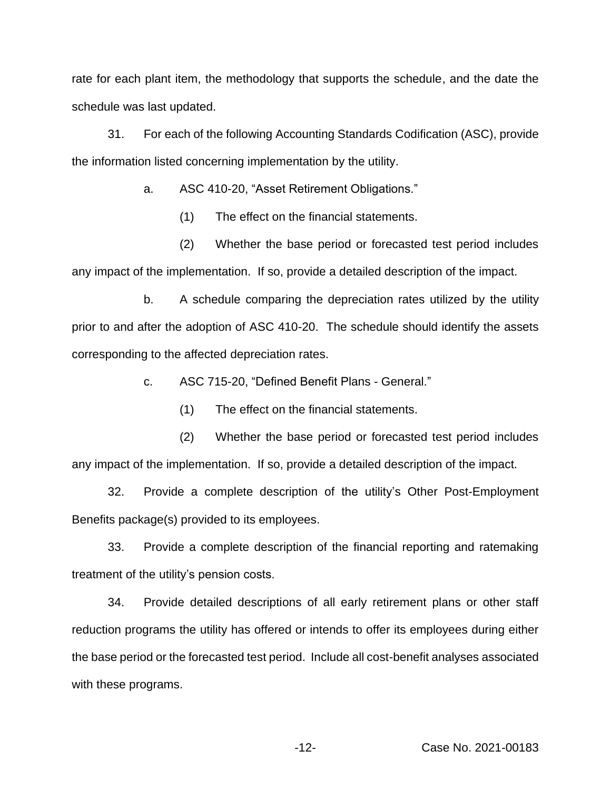rate for each plant item, the methodology that supports the schedule, and the date the schedule was last updated.

31. For each of the following Accounting Standards Codification (ASC), provide the information listed concerning implementation by the utility.

a. ASC 410-20, "Asset Retirement Obligations."

(1) The effect on the financial statements.

(2) Whether the base period or forecasted test period includes any impact of the implementation. If so, provide a detailed description of the impact.

b. A schedule comparing the depreciation rates utilized by the utility prior to and after the adoption of ASC 410-20. The schedule should identify the assets corresponding to the affected depreciation rates.

c. ASC 715-20, "Defined Benefit Plans - General."

(1) The effect on the financial statements.

(2) Whether the base period or forecasted test period includes any impact of the implementation. If so, provide a detailed description of the impact.

32. Provide a complete description of the utility's Other Post-Employment Benefits package(s) provided to its employees.

33. Provide a complete description of the financial reporting and ratemaking treatment of the utility's pension costs.

34. Provide detailed descriptions of all early retirement plans or other staff reduction programs the utility has offered or intends to offer its employees during either the base period or the forecasted test period. Include all cost-benefit analyses associated with these programs.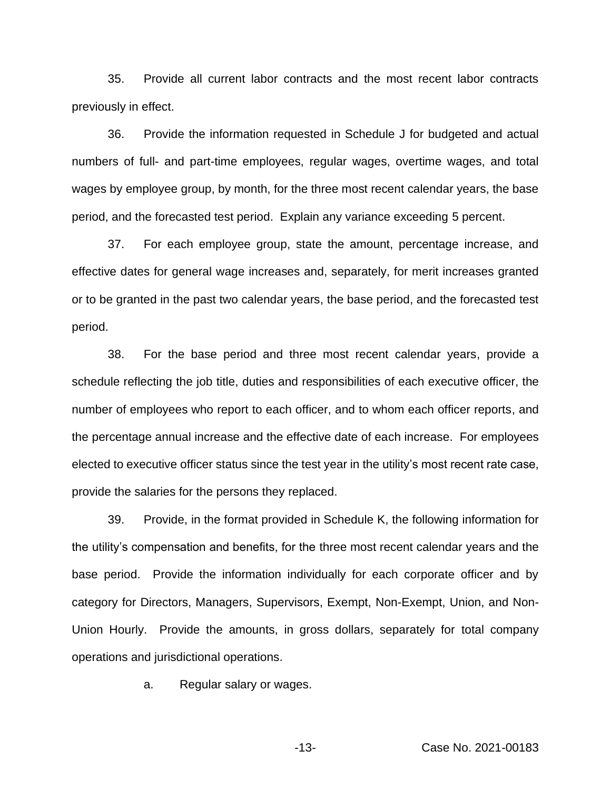35. Provide all current labor contracts and the most recent labor contracts previously in effect.

36. Provide the information requested in Schedule J for budgeted and actual numbers of full- and part-time employees, regular wages, overtime wages, and total wages by employee group, by month, for the three most recent calendar years, the base period, and the forecasted test period. Explain any variance exceeding 5 percent.

37. For each employee group, state the amount, percentage increase, and effective dates for general wage increases and, separately, for merit increases granted or to be granted in the past two calendar years, the base period, and the forecasted test period.

38. For the base period and three most recent calendar years, provide a schedule reflecting the job title, duties and responsibilities of each executive officer, the number of employees who report to each officer, and to whom each officer reports, and the percentage annual increase and the effective date of each increase. For employees elected to executive officer status since the test year in the utility's most recent rate case, provide the salaries for the persons they replaced.

39. Provide, in the format provided in Schedule K, the following information for the utility's compensation and benefits, for the three most recent calendar years and the base period. Provide the information individually for each corporate officer and by category for Directors, Managers, Supervisors, Exempt, Non-Exempt, Union, and Non-Union Hourly. Provide the amounts, in gross dollars, separately for total company operations and jurisdictional operations.

a. Regular salary or wages.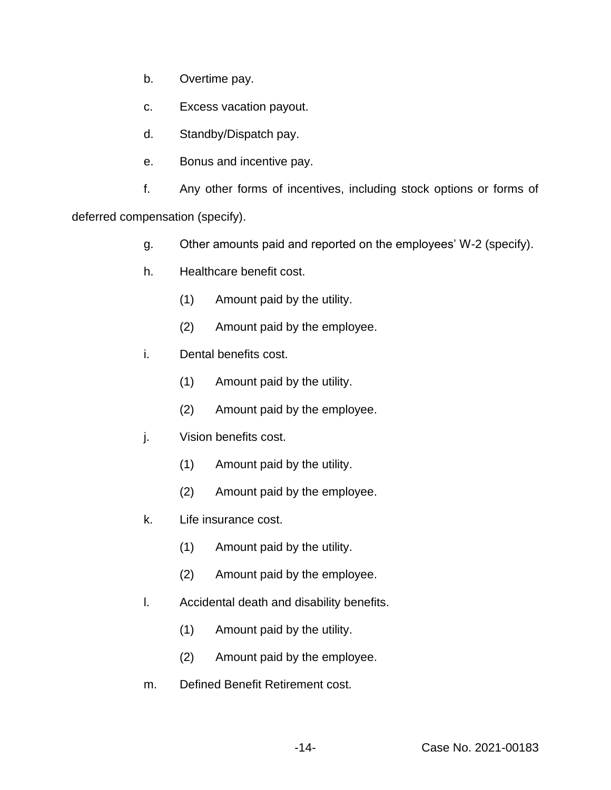- b. Overtime pay.
- c. Excess vacation payout.
- d. Standby/Dispatch pay.
- e. Bonus and incentive pay.

f. Any other forms of incentives, including stock options or forms of

deferred compensation (specify).

- g. Other amounts paid and reported on the employees' W-2 (specify).
- h. Healthcare benefit cost.
	- (1) Amount paid by the utility.
	- (2) Amount paid by the employee.
- i. Dental benefits cost.
	- (1) Amount paid by the utility.
	- (2) Amount paid by the employee.
- j. Vision benefits cost.
	- (1) Amount paid by the utility.
	- (2) Amount paid by the employee.
- k. Life insurance cost.
	- (1) Amount paid by the utility.
	- (2) Amount paid by the employee.
- l. Accidental death and disability benefits.
	- (1) Amount paid by the utility.
	- (2) Amount paid by the employee.
- m. Defined Benefit Retirement cost.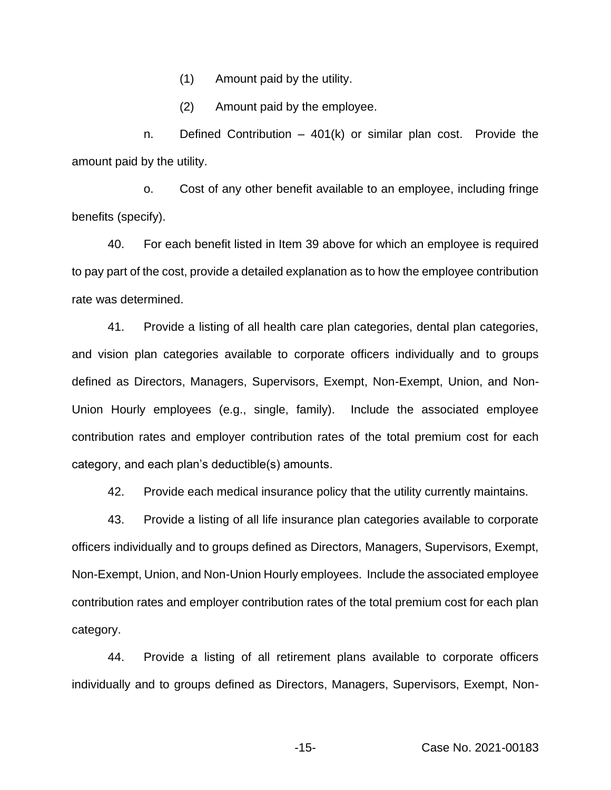(1) Amount paid by the utility.

(2) Amount paid by the employee.

n. Defined Contribution – 401(k) or similar plan cost. Provide the amount paid by the utility.

o. Cost of any other benefit available to an employee, including fringe benefits (specify).

40. For each benefit listed in Item 39 above for which an employee is required to pay part of the cost, provide a detailed explanation as to how the employee contribution rate was determined.

41. Provide a listing of all health care plan categories, dental plan categories, and vision plan categories available to corporate officers individually and to groups defined as Directors, Managers, Supervisors, Exempt, Non-Exempt, Union, and Non-Union Hourly employees (e.g., single, family). Include the associated employee contribution rates and employer contribution rates of the total premium cost for each category, and each plan's deductible(s) amounts.

42. Provide each medical insurance policy that the utility currently maintains.

43. Provide a listing of all life insurance plan categories available to corporate officers individually and to groups defined as Directors, Managers, Supervisors, Exempt, Non-Exempt, Union, and Non-Union Hourly employees. Include the associated employee contribution rates and employer contribution rates of the total premium cost for each plan category.

44. Provide a listing of all retirement plans available to corporate officers individually and to groups defined as Directors, Managers, Supervisors, Exempt, Non-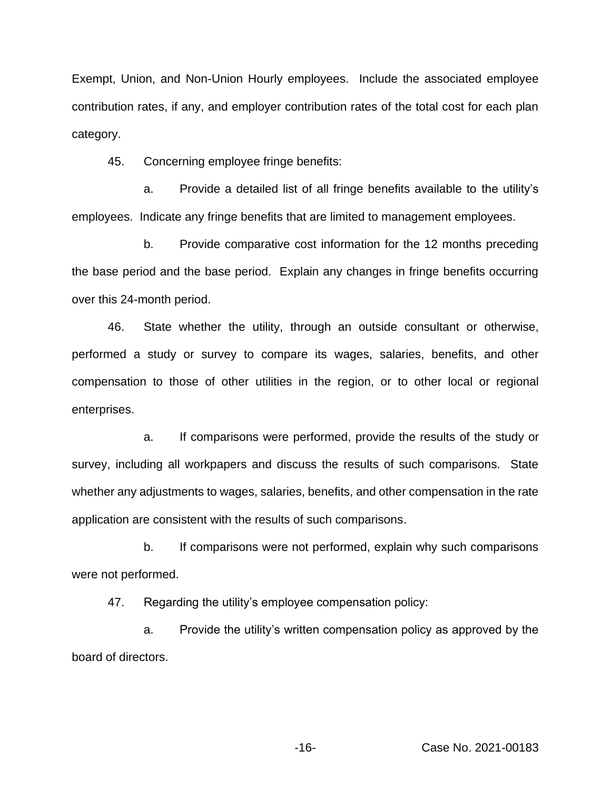Exempt, Union, and Non-Union Hourly employees. Include the associated employee contribution rates, if any, and employer contribution rates of the total cost for each plan category.

45. Concerning employee fringe benefits:

a. Provide a detailed list of all fringe benefits available to the utility's employees. Indicate any fringe benefits that are limited to management employees.

b. Provide comparative cost information for the 12 months preceding the base period and the base period. Explain any changes in fringe benefits occurring over this 24-month period.

46. State whether the utility, through an outside consultant or otherwise, performed a study or survey to compare its wages, salaries, benefits, and other compensation to those of other utilities in the region, or to other local or regional enterprises.

a. If comparisons were performed, provide the results of the study or survey, including all workpapers and discuss the results of such comparisons. State whether any adjustments to wages, salaries, benefits, and other compensation in the rate application are consistent with the results of such comparisons.

b. If comparisons were not performed, explain why such comparisons were not performed.

47. Regarding the utility's employee compensation policy:

a. Provide the utility's written compensation policy as approved by the board of directors.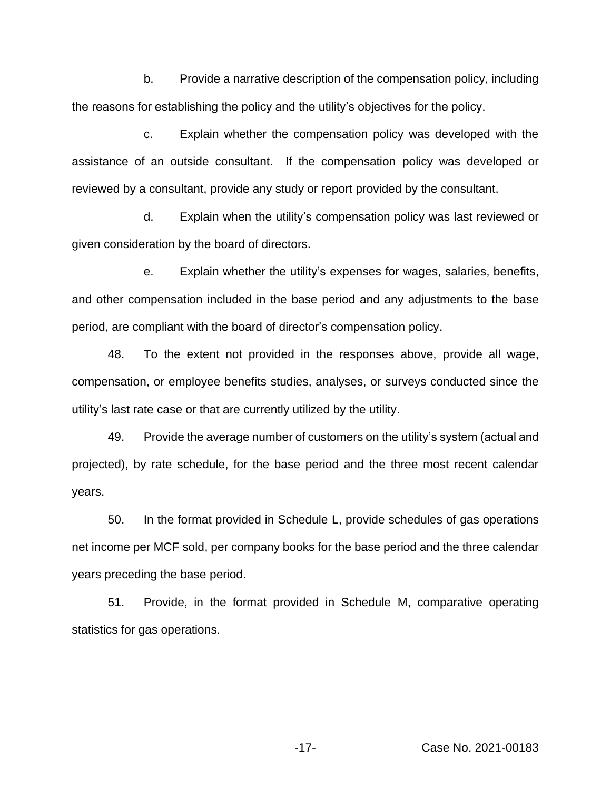b. Provide a narrative description of the compensation policy, including the reasons for establishing the policy and the utility's objectives for the policy.

c. Explain whether the compensation policy was developed with the assistance of an outside consultant. If the compensation policy was developed or reviewed by a consultant, provide any study or report provided by the consultant.

d. Explain when the utility's compensation policy was last reviewed or given consideration by the board of directors.

e. Explain whether the utility's expenses for wages, salaries, benefits, and other compensation included in the base period and any adjustments to the base period, are compliant with the board of director's compensation policy.

48. To the extent not provided in the responses above, provide all wage, compensation, or employee benefits studies, analyses, or surveys conducted since the utility's last rate case or that are currently utilized by the utility.

49. Provide the average number of customers on the utility's system (actual and projected), by rate schedule, for the base period and the three most recent calendar years.

50. In the format provided in Schedule L, provide schedules of gas operations net income per MCF sold, per company books for the base period and the three calendar years preceding the base period.

51. Provide, in the format provided in Schedule M, comparative operating statistics for gas operations.

-17- Case No. 2021-00183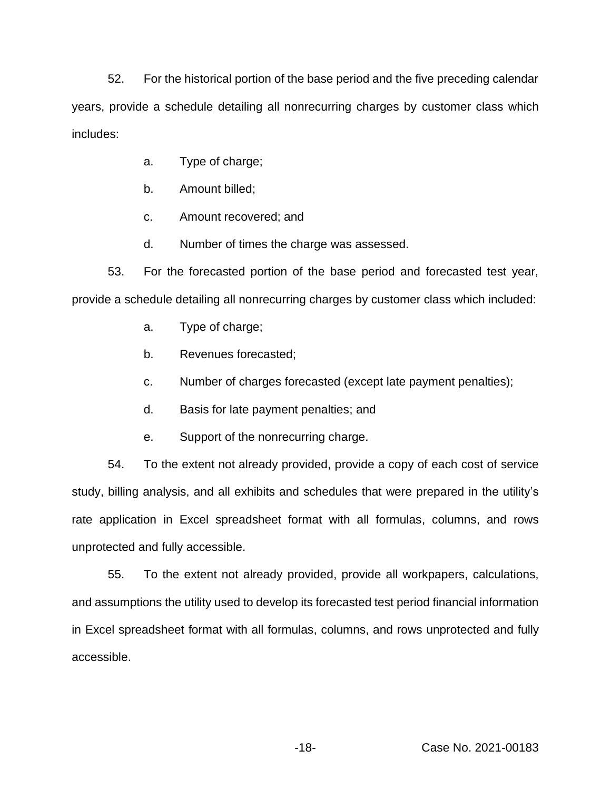52. For the historical portion of the base period and the five preceding calendar years, provide a schedule detailing all nonrecurring charges by customer class which includes:

- a. Type of charge;
- b. Amount billed;
- c. Amount recovered; and
- d. Number of times the charge was assessed.

53. For the forecasted portion of the base period and forecasted test year, provide a schedule detailing all nonrecurring charges by customer class which included:

- a. Type of charge;
- b. Revenues forecasted;
- c. Number of charges forecasted (except late payment penalties);
- d. Basis for late payment penalties; and
- e. Support of the nonrecurring charge.

54. To the extent not already provided, provide a copy of each cost of service study, billing analysis, and all exhibits and schedules that were prepared in the utility's rate application in Excel spreadsheet format with all formulas, columns, and rows unprotected and fully accessible.

55. To the extent not already provided, provide all workpapers, calculations, and assumptions the utility used to develop its forecasted test period financial information in Excel spreadsheet format with all formulas, columns, and rows unprotected and fully accessible.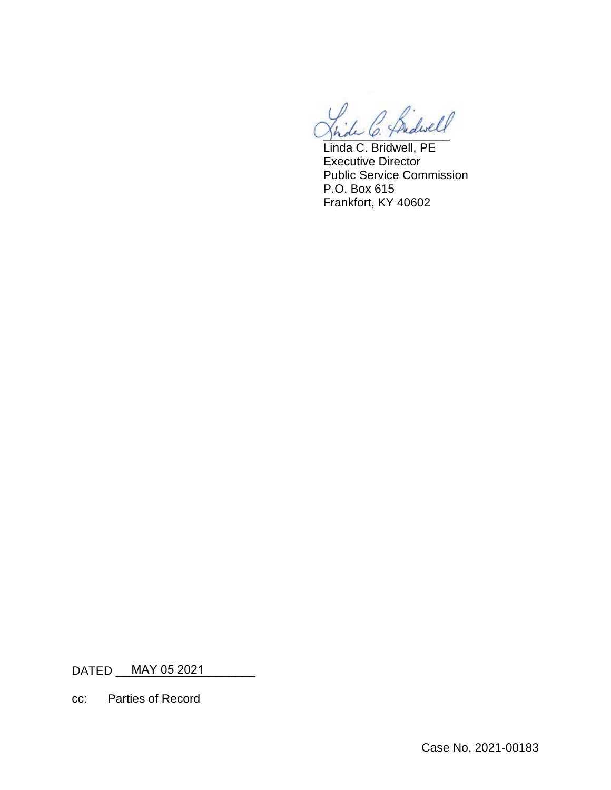1 C. Sidwell

Linda C. Bridwell, PE Executive Director Public Service Commission P.O. Box 615 Frankfort, KY 40602

DATED \_\_\_\_MAY 05 2021 \_\_\_\_\_\_\_\_\_\_

cc: Parties of Record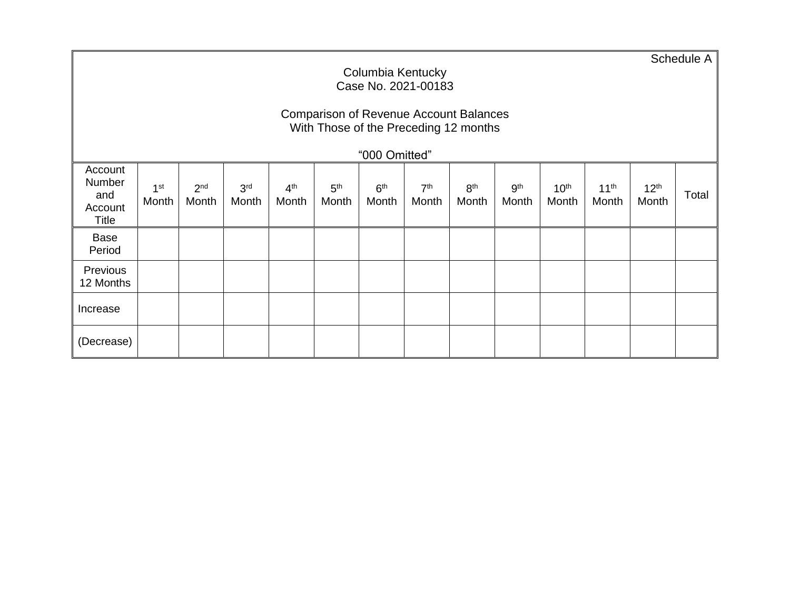|                                              | Columbia Kentucky<br>Case No. 2021-00183                                               |                          |                          |                          |                          |                          |                          |                          |                          |                           |                           |                           |       |
|----------------------------------------------|----------------------------------------------------------------------------------------|--------------------------|--------------------------|--------------------------|--------------------------|--------------------------|--------------------------|--------------------------|--------------------------|---------------------------|---------------------------|---------------------------|-------|
|                                              | <b>Comparison of Revenue Account Balances</b><br>With Those of the Preceding 12 months |                          |                          |                          |                          |                          |                          |                          |                          |                           |                           |                           |       |
|                                              |                                                                                        |                          |                          |                          |                          | "000 Omitted"            |                          |                          |                          |                           |                           |                           |       |
| Account<br>Number<br>and<br>Account<br>Title | 1 <sup>st</sup><br>Month                                                               | 2 <sup>nd</sup><br>Month | 3 <sup>rd</sup><br>Month | 4 <sup>th</sup><br>Month | 5 <sup>th</sup><br>Month | 6 <sup>th</sup><br>Month | 7 <sup>th</sup><br>Month | 8 <sup>th</sup><br>Month | 9 <sup>th</sup><br>Month | 10 <sup>th</sup><br>Month | 11 <sup>th</sup><br>Month | 12 <sup>th</sup><br>Month | Total |
| <b>Base</b><br>Period                        |                                                                                        |                          |                          |                          |                          |                          |                          |                          |                          |                           |                           |                           |       |
| Previous<br>12 Months                        |                                                                                        |                          |                          |                          |                          |                          |                          |                          |                          |                           |                           |                           |       |
| Increase                                     |                                                                                        |                          |                          |                          |                          |                          |                          |                          |                          |                           |                           |                           |       |
| (Decrease)                                   |                                                                                        |                          |                          |                          |                          |                          |                          |                          |                          |                           |                           |                           |       |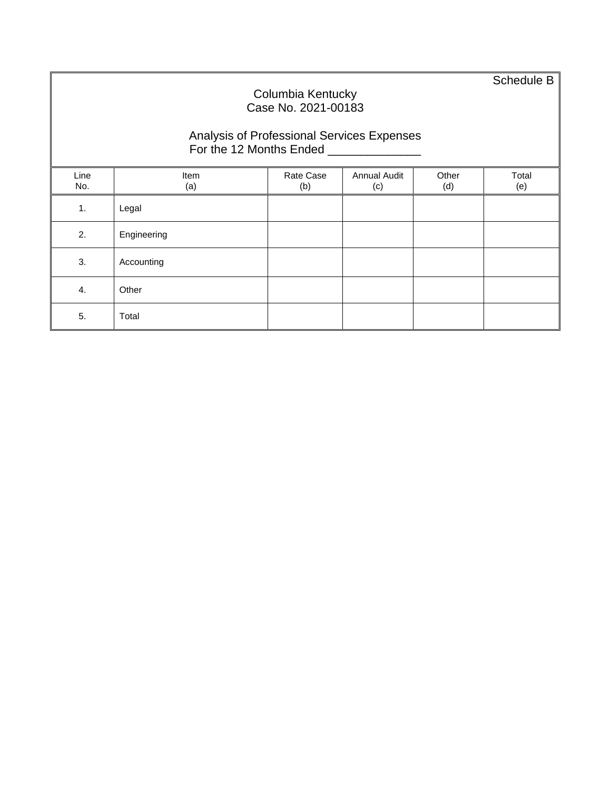Schedule B

#### Columbia Kentucky Case No. 2021-00183 Analysis of Professional Services Expenses For the 12 Months Ended \_\_\_\_\_\_\_\_\_\_\_\_\_\_\_\_\_ Line No. Item (a) Rate Case (b) Annual Audit (c) Other (d) Total (e) 1. Legal 2. Engineering 3. Accounting 4. Other 5. Total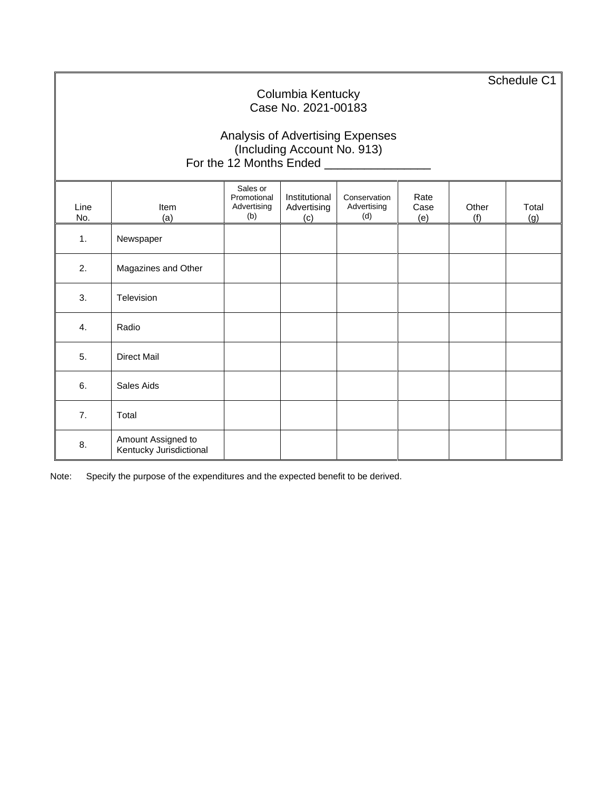Schedule C1

## Columbia Kentucky Case No. 2021-00183

### Analysis of Advertising Expenses (Including Account No. 913) For the 12 Months Ended **Learn Contract Contract Contract Contract Contract Contract Contract Contract Contract**

| Line<br>No. | Item<br>(a)                                   | Sales or<br>Promotional<br>Advertising<br>(b) | Institutional<br>Advertising<br>(c) | Conservation<br>Advertising<br>(d) | Rate<br>Case<br>(e) | Other<br>(f) | Total<br>(g) |
|-------------|-----------------------------------------------|-----------------------------------------------|-------------------------------------|------------------------------------|---------------------|--------------|--------------|
| 1.          | Newspaper                                     |                                               |                                     |                                    |                     |              |              |
| 2.          | Magazines and Other                           |                                               |                                     |                                    |                     |              |              |
| 3.          | Television                                    |                                               |                                     |                                    |                     |              |              |
| 4.          | Radio                                         |                                               |                                     |                                    |                     |              |              |
| 5.          | <b>Direct Mail</b>                            |                                               |                                     |                                    |                     |              |              |
| 6.          | Sales Aids                                    |                                               |                                     |                                    |                     |              |              |
| 7.          | Total                                         |                                               |                                     |                                    |                     |              |              |
| 8.          | Amount Assigned to<br>Kentucky Jurisdictional |                                               |                                     |                                    |                     |              |              |

Note: Specify the purpose of the expenditures and the expected benefit to be derived.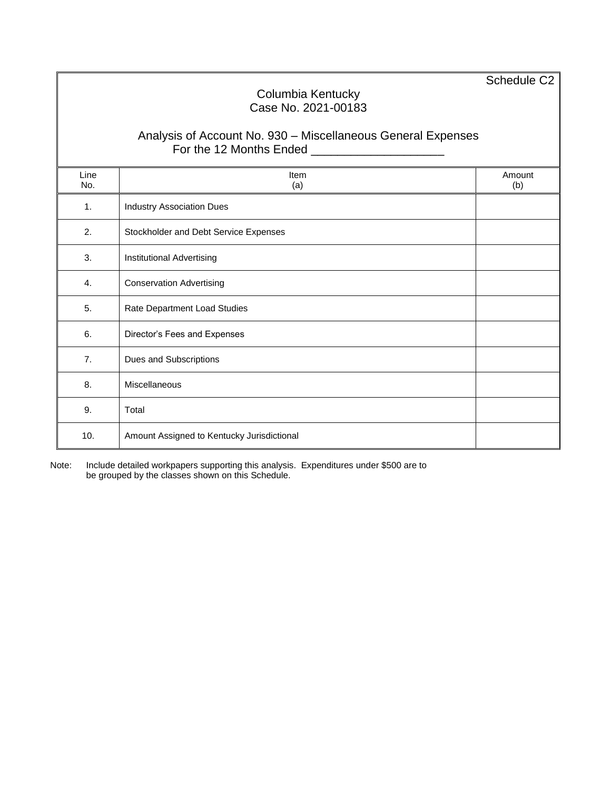Schedule C2

#### Columbia Kentucky Case No. 2021-00183

### Analysis of Account No. 930 – Miscellaneous General Expenses For the 12 Months Ended \_\_\_\_\_\_\_\_\_\_\_\_\_\_\_\_\_\_\_\_

| Line<br>No.    | Item<br>(a)                                | Amount<br>(b) |
|----------------|--------------------------------------------|---------------|
| $\mathbf{1}$ . | <b>Industry Association Dues</b>           |               |
| 2.             | Stockholder and Debt Service Expenses      |               |
| 3.             | Institutional Advertising                  |               |
| 4.             | <b>Conservation Advertising</b>            |               |
| 5.             | Rate Department Load Studies               |               |
| 6.             | Director's Fees and Expenses               |               |
| 7.             | Dues and Subscriptions                     |               |
| 8.             | Miscellaneous                              |               |
| 9.             | Total                                      |               |
| 10.            | Amount Assigned to Kentucky Jurisdictional |               |

Note: Include detailed workpapers supporting this analysis. Expenditures under \$500 are to be grouped by the classes shown on this Schedule.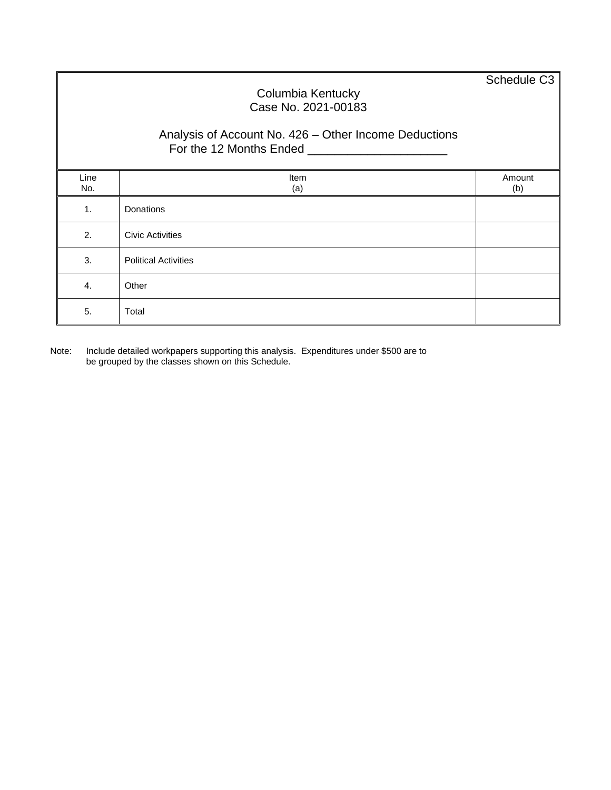Schedule C3

### Columbia Kentucky Case No. 2021-00183

### Analysis of Account No. 426 – Other Income Deductions For the 12 Months Ended \_\_\_\_\_\_\_\_\_\_\_\_\_\_\_\_\_\_\_\_\_

| Line<br>No. | Item<br>(a)                 | Amount<br>(b) |
|-------------|-----------------------------|---------------|
| 1.          | Donations                   |               |
| 2.          | <b>Civic Activities</b>     |               |
| 3.          | <b>Political Activities</b> |               |
| 4.          | Other                       |               |
| 5.          | Total                       |               |

Note: Include detailed workpapers supporting this analysis. Expenditures under \$500 are to be grouped by the classes shown on this Schedule.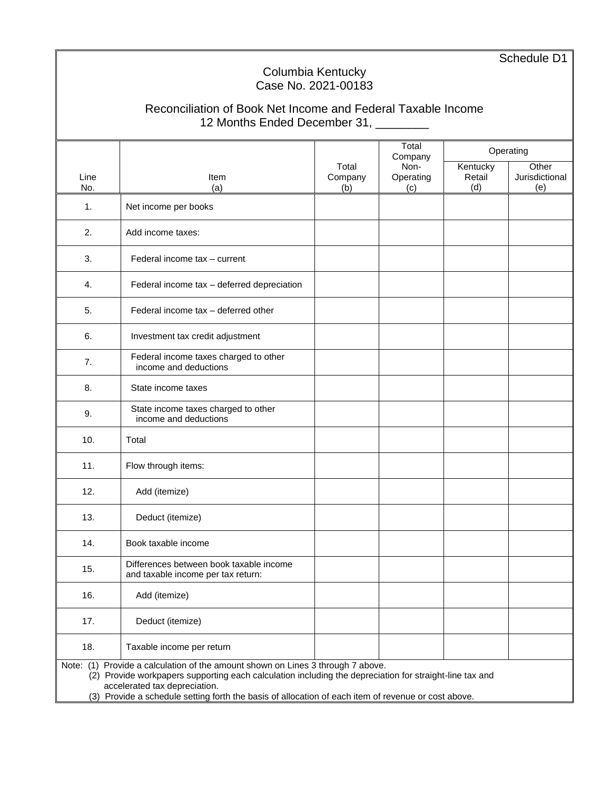Schedule D1

### Columbia Kentucky Case No. 2021-00183

# Reconciliation of Book Net Income and Federal Taxable Income 12 Months Ended December 31, \_\_\_\_\_\_\_\_

|      |                                                                                                                                      |         | Total<br>Company |          | Operating      |
|------|--------------------------------------------------------------------------------------------------------------------------------------|---------|------------------|----------|----------------|
|      |                                                                                                                                      | Total   | Non-             | Kentucky | Other          |
| Line | Item                                                                                                                                 | Company | Operating        | Retail   | Jurisdictional |
| No.  | (a)                                                                                                                                  | (b)     | (c)              | (d)      | (e)            |
| 1.   | Net income per books                                                                                                                 |         |                  |          |                |
| 2.   | Add income taxes:                                                                                                                    |         |                  |          |                |
| 3.   | Federal income tax - current                                                                                                         |         |                  |          |                |
| 4.   | Federal income tax - deferred depreciation                                                                                           |         |                  |          |                |
| 5.   | Federal income tax - deferred other                                                                                                  |         |                  |          |                |
| 6.   | Investment tax credit adjustment                                                                                                     |         |                  |          |                |
| 7.   | Federal income taxes charged to other<br>income and deductions                                                                       |         |                  |          |                |
| 8.   | State income taxes                                                                                                                   |         |                  |          |                |
| 9.   | State income taxes charged to other<br>income and deductions                                                                         |         |                  |          |                |
| 10.  | Total                                                                                                                                |         |                  |          |                |
| 11.  | Flow through items:                                                                                                                  |         |                  |          |                |
| 12.  | Add (itemize)                                                                                                                        |         |                  |          |                |
| 13.  | Deduct (itemize)                                                                                                                     |         |                  |          |                |
| 14.  | Book taxable income                                                                                                                  |         |                  |          |                |
| 15.  | Differences between book taxable income<br>and taxable income per tax return:                                                        |         |                  |          |                |
| 16.  | Add (itemize)                                                                                                                        |         |                  |          |                |
| 17.  | Deduct (itemize)                                                                                                                     |         |                  |          |                |
| 18.  | Taxable income per return                                                                                                            |         |                  |          |                |
|      | Note: (1) Provide a calculation of the amount shown on Lines 3 through 7 above.                                                      |         |                  |          |                |
|      | (2) Provide workpapers supporting each calculation including the depreciation for straight-line tax and                              |         |                  |          |                |
|      | accelerated tax depreciation.<br>(3) Provide a schedule setting forth the basis of allocation of each item of revenue or cost above. |         |                  |          |                |
|      |                                                                                                                                      |         |                  |          |                |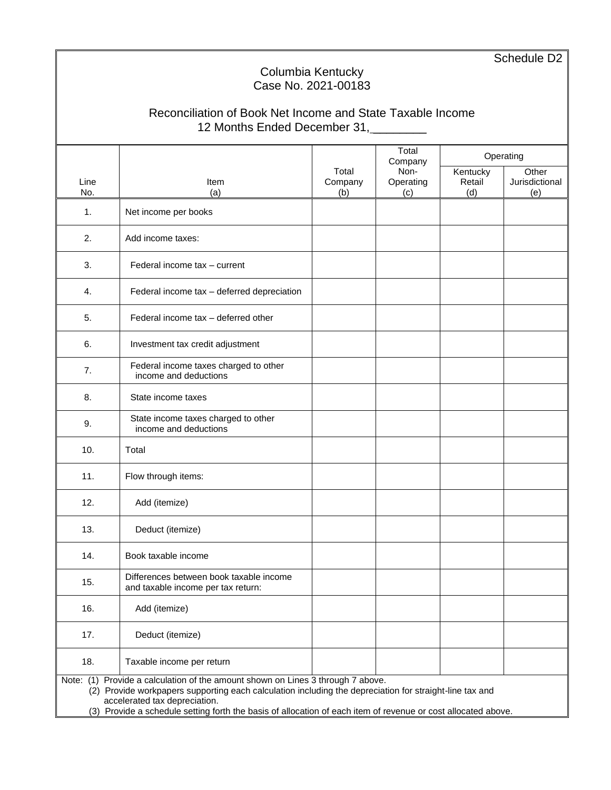Schedule D<sub>2</sub>

## Columbia Kentucky Case No. 2021-00183

# Reconciliation of Book Net Income and State Taxable Income 12 Months Ended December 31,

|      |                                                                                                               |         | Total<br>Company |          | Operating      |
|------|---------------------------------------------------------------------------------------------------------------|---------|------------------|----------|----------------|
|      |                                                                                                               | Total   | Non-             | Kentucky | Other          |
| Line | <b>Item</b>                                                                                                   | Company | Operating        | Retail   | Jurisdictional |
| No.  | (a)                                                                                                           | (b)     | (c)              | (d)      | (e)            |
| 1.   | Net income per books                                                                                          |         |                  |          |                |
| 2.   | Add income taxes:                                                                                             |         |                  |          |                |
| 3.   | Federal income tax - current                                                                                  |         |                  |          |                |
| 4.   | Federal income tax - deferred depreciation                                                                    |         |                  |          |                |
| 5.   | Federal income tax - deferred other                                                                           |         |                  |          |                |
| 6.   | Investment tax credit adjustment                                                                              |         |                  |          |                |
| 7.   | Federal income taxes charged to other<br>income and deductions                                                |         |                  |          |                |
| 8.   | State income taxes                                                                                            |         |                  |          |                |
| 9.   | State income taxes charged to other<br>income and deductions                                                  |         |                  |          |                |
| 10.  | Total                                                                                                         |         |                  |          |                |
| 11.  | Flow through items:                                                                                           |         |                  |          |                |
| 12.  | Add (itemize)                                                                                                 |         |                  |          |                |
| 13.  | Deduct (itemize)                                                                                              |         |                  |          |                |
| 14.  | Book taxable income                                                                                           |         |                  |          |                |
| 15.  | Differences between book taxable income<br>and taxable income per tax return:                                 |         |                  |          |                |
| 16.  | Add (itemize)                                                                                                 |         |                  |          |                |
| 17.  | Deduct (itemize)                                                                                              |         |                  |          |                |
| 18.  | Taxable income per return                                                                                     |         |                  |          |                |
|      | Note: (1) Provide a calculation of the amount shown on Lines 3 through 7 above.                               |         |                  |          |                |
|      | (2) Provide workpapers supporting each calculation including the depreciation for straight-line tax and       |         |                  |          |                |
|      | accelerated tax depreciation.                                                                                 |         |                  |          |                |
|      | (3) Provide a schedule setting forth the basis of allocation of each item of revenue or cost allocated above. |         |                  |          |                |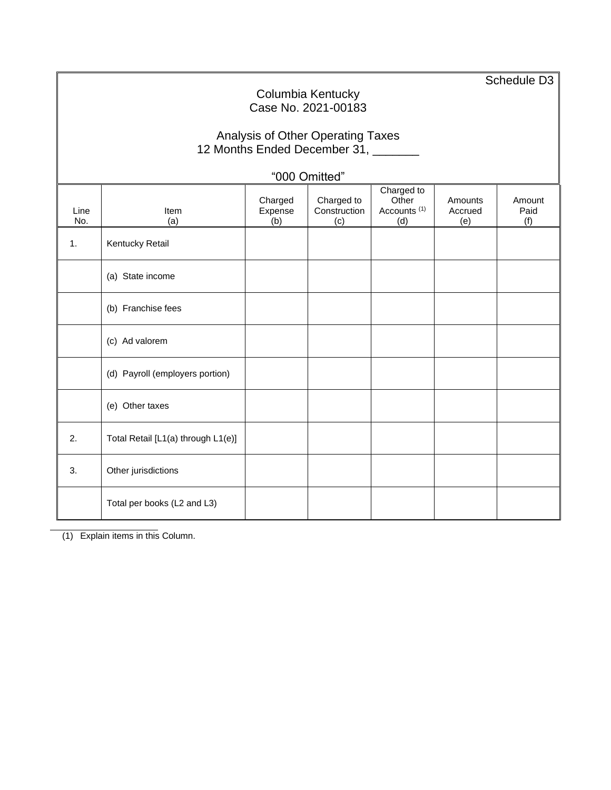|               | Schedule D <sub>3</sub><br>Columbia Kentucky<br>Case No. 2021-00183                                                                                                                          |  |  |  |  |  |  |  |  |  |  |  |  |
|---------------|----------------------------------------------------------------------------------------------------------------------------------------------------------------------------------------------|--|--|--|--|--|--|--|--|--|--|--|--|
|               | Analysis of Other Operating Taxes<br>12 Months Ended December 31, ______                                                                                                                     |  |  |  |  |  |  |  |  |  |  |  |  |
| "000 Omitted" |                                                                                                                                                                                              |  |  |  |  |  |  |  |  |  |  |  |  |
| Line<br>No.   | Charged to<br>Charged<br>Charged to<br>Other<br>Amounts<br>Amount<br>Expense<br>Construction<br>Accounts <sup>(1)</sup><br>Accrued<br>Paid<br>Item<br>(a)<br>(d)<br>(f)<br>(b)<br>(c)<br>(e) |  |  |  |  |  |  |  |  |  |  |  |  |
| 1.            | Kentucky Retail                                                                                                                                                                              |  |  |  |  |  |  |  |  |  |  |  |  |
|               | (a) State income                                                                                                                                                                             |  |  |  |  |  |  |  |  |  |  |  |  |
|               | (b) Franchise fees                                                                                                                                                                           |  |  |  |  |  |  |  |  |  |  |  |  |
|               | (c) Ad valorem                                                                                                                                                                               |  |  |  |  |  |  |  |  |  |  |  |  |
|               | (d) Payroll (employers portion)                                                                                                                                                              |  |  |  |  |  |  |  |  |  |  |  |  |
|               | (e) Other taxes                                                                                                                                                                              |  |  |  |  |  |  |  |  |  |  |  |  |
| 2.            | Total Retail [L1(a) through L1(e)]                                                                                                                                                           |  |  |  |  |  |  |  |  |  |  |  |  |
| 3.            | Other jurisdictions                                                                                                                                                                          |  |  |  |  |  |  |  |  |  |  |  |  |
|               | Total per books (L2 and L3)                                                                                                                                                                  |  |  |  |  |  |  |  |  |  |  |  |  |

(1) Explain items in this Column.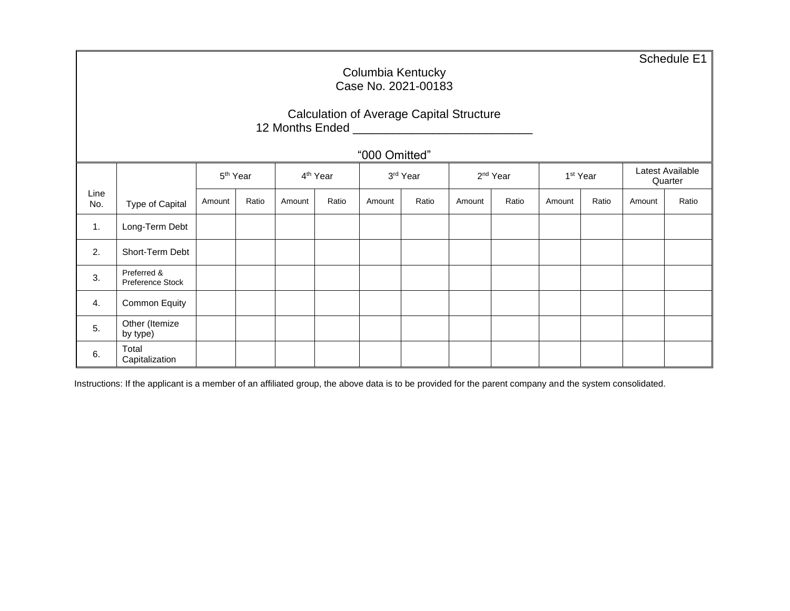Schedule E1

### Columbia Kentucky Case No. 2021-00183

|                 | <b>Calculation of Average Capital Structure</b> |
|-----------------|-------------------------------------------------|
| 12 Months Ended |                                                 |

"000 Omitted"

|             |                                 |        | 5 <sup>th</sup> Year |        | 4 <sup>th</sup> Year |        | 3rd Year |        | 2 <sup>nd</sup> Year |        | 1 <sup>st</sup> Year | Latest Available<br>Quarter |       |
|-------------|---------------------------------|--------|----------------------|--------|----------------------|--------|----------|--------|----------------------|--------|----------------------|-----------------------------|-------|
| Line<br>No. | Type of Capital                 | Amount | Ratio                | Amount | Ratio                | Amount | Ratio    | Amount | Ratio                | Amount | Ratio                | Amount                      | Ratio |
| 1.          | Long-Term Debt                  |        |                      |        |                      |        |          |        |                      |        |                      |                             |       |
| 2.          | Short-Term Debt                 |        |                      |        |                      |        |          |        |                      |        |                      |                             |       |
| 3.          | Preferred &<br>Preference Stock |        |                      |        |                      |        |          |        |                      |        |                      |                             |       |
| 4.          | Common Equity                   |        |                      |        |                      |        |          |        |                      |        |                      |                             |       |
| 5.          | Other (Itemize<br>by type)      |        |                      |        |                      |        |          |        |                      |        |                      |                             |       |
| 6.          | Total<br>Capitalization         |        |                      |        |                      |        |          |        |                      |        |                      |                             |       |

Instructions: If the applicant is a member of an affiliated group, the above data is to be provided for the parent company and the system consolidated.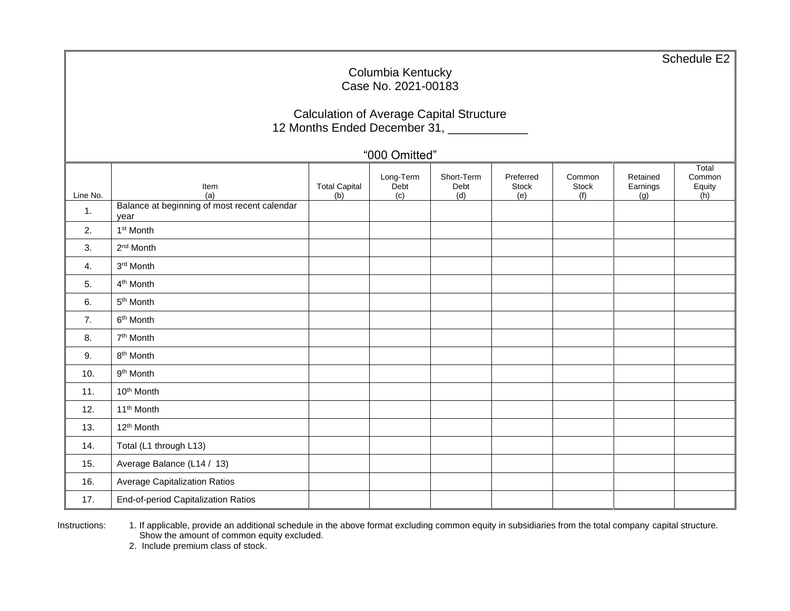Schedule E2 Columbia Kentucky Case No. 2021-00183 Calculation of Average Capital Structure 12 Months Ended December 31, \_\_\_\_\_\_\_\_\_\_\_\_ "000 Omitted" Line No. Item  $(a)$ Total Capital  $(b)$ Long-Term Debt (c) Short-Term Debt (d) Preferred Stock (e) Common Stock (f) Retained Earnings (g) **Total** Common Equity  $(h)$ 1. Balance at beginning of most recent calendar year 2. 1 1<sup>st</sup> Month  $3.$ 2<sup>nd</sup> Month  $4.$ 3<sup>rd</sup> Month 5. 4<sup>th</sup> Month  $6.$ 5<sup>th</sup> Month  $7<sub>1</sub>$ 6<sup>th</sup> Month 8. 7<sup>th</sup> Month  $9.$ 8<sup>th</sup> Month  $10.$ 9<sup>th</sup> Month 11.  $10^{th}$  Month 12.  $\vert$  11<sup>th</sup> Month 13.  $\vert$  12<sup>th</sup> Month 14. Total (L1 through L13) 15. Average Balance (L14 / 13) 16. Average Capitalization Ratios 17. | End-of-period Capitalization Ratios

Instructions: 1. If applicable, provide an additional schedule in the above format excluding common equity in subsidiaries from the total company capital structure. Show the amount of common equity excluded.

2. Include premium class of stock.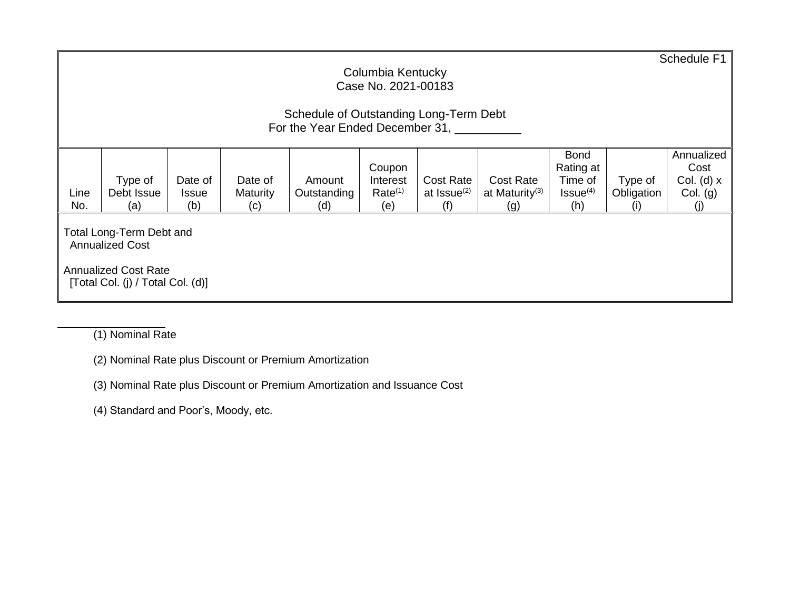|             | Schedule F1<br>Columbia Kentucky<br>Case No. 2021-00183                                                                       |                     |                        |                    |                            |                                |                            |                      |                                               |              |  |  |  |
|-------------|-------------------------------------------------------------------------------------------------------------------------------|---------------------|------------------------|--------------------|----------------------------|--------------------------------|----------------------------|----------------------|-----------------------------------------------|--------------|--|--|--|
|             | Schedule of Outstanding Long-Term Debt<br>For the Year Ended December 31,                                                     |                     |                        |                    |                            |                                |                            |                      |                                               |              |  |  |  |
|             | Annualized<br><b>Bond</b><br>Rating at<br>Cost<br>Coupon                                                                      |                     |                        |                    |                            |                                |                            |                      |                                               |              |  |  |  |
|             | Type of                                                                                                                       | Date of             | Date of                | Amount             | Interest                   | Cost Rate                      | <b>Cost Rate</b>           | Time of              | Type of                                       | Col. (d) $x$ |  |  |  |
| Line<br>No. | Debt Issue<br>(a)                                                                                                             | <b>Issue</b><br>(b) | <b>Maturity</b><br>(c) | Outstanding<br>(d) | Rate <sup>(1)</sup><br>(e) | at Issue <sup>(2)</sup><br>(f) | at Maturity <sup>(3)</sup> | $Issue^{(4)}$<br>(h) | Obligation<br>$\left( \left  \right  \right)$ | Col. (g)     |  |  |  |
|             | (g)<br>Total Long-Term Debt and<br><b>Annualized Cost</b><br><b>Annualized Cost Rate</b><br>[Total Col. (j) / Total Col. (d)] |                     |                        |                    |                            |                                |                            |                      |                                               |              |  |  |  |

(1) Nominal Rate

(2) Nominal Rate plus Discount or Premium Amortization

(3) Nominal Rate plus Discount or Premium Amortization and Issuance Cost

(4) Standard and Poor's, Moody, etc.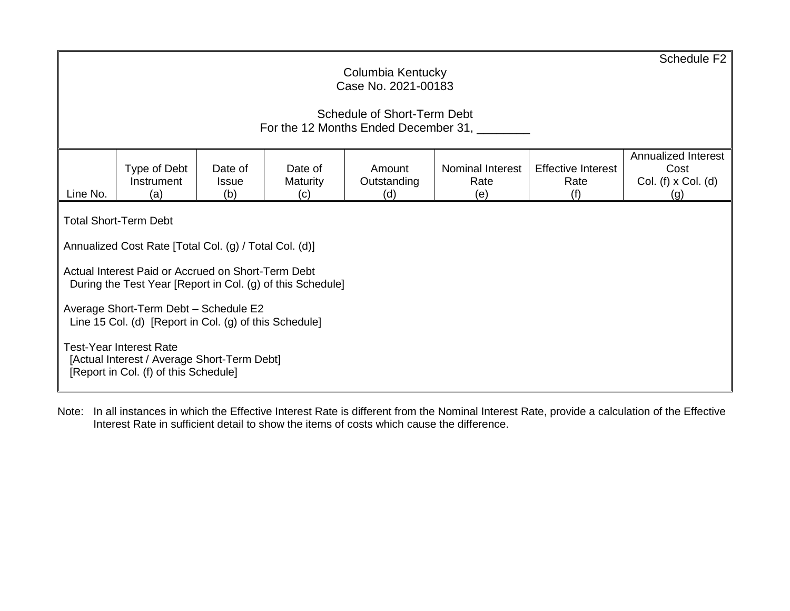|                                                                                                                                                                                                                                                                                                    | Schedule F <sub>2</sub><br>Columbia Kentucky<br>Case No. 2021-00183<br>Schedule of Short-Term Debt<br>For the 12 Months Ended December 31,                                                                                                                                                                                                                                                                                              |  |  |  |  |  |  |  |  |  |  |  |  |
|----------------------------------------------------------------------------------------------------------------------------------------------------------------------------------------------------------------------------------------------------------------------------------------------------|-----------------------------------------------------------------------------------------------------------------------------------------------------------------------------------------------------------------------------------------------------------------------------------------------------------------------------------------------------------------------------------------------------------------------------------------|--|--|--|--|--|--|--|--|--|--|--|--|
| Annualized Interest<br><b>Effective Interest</b><br>Type of Debt<br>Date of<br>Nominal Interest<br>Cost<br>Date of<br>Amount<br>Instrument<br>Col. (f) $x$ Col. (d)<br>Outstanding<br>Rate<br>Rate<br><b>Maturity</b><br><b>Issue</b><br>Line No.<br>(b)<br>(f)<br>(a)<br>(d)<br>(e)<br>(c)<br>(g) |                                                                                                                                                                                                                                                                                                                                                                                                                                         |  |  |  |  |  |  |  |  |  |  |  |  |
|                                                                                                                                                                                                                                                                                                    | <b>Total Short-Term Debt</b><br>Annualized Cost Rate [Total Col. (g) / Total Col. (d)]<br>Actual Interest Paid or Accrued on Short-Term Debt<br>During the Test Year [Report in Col. (g) of this Schedule]<br>Average Short-Term Debt - Schedule E2<br>Line 15 Col. (d) [Report in Col. (g) of this Schedule]<br><b>Test-Year Interest Rate</b><br>[Actual Interest / Average Short-Term Debt]<br>[Report in Col. (f) of this Schedule] |  |  |  |  |  |  |  |  |  |  |  |  |

Note: In all instances in which the Effective Interest Rate is different from the Nominal Interest Rate, provide a calculation of the Effective Interest Rate in sufficient detail to show the items of costs which cause the difference.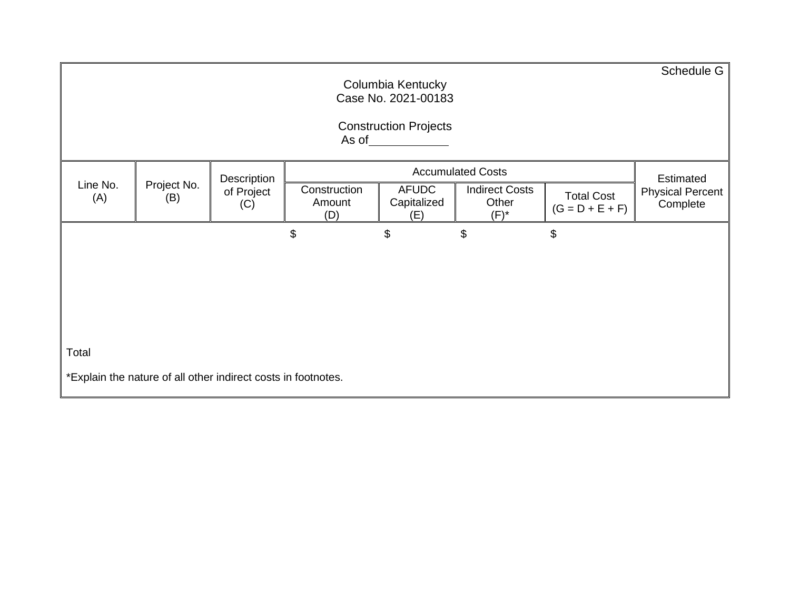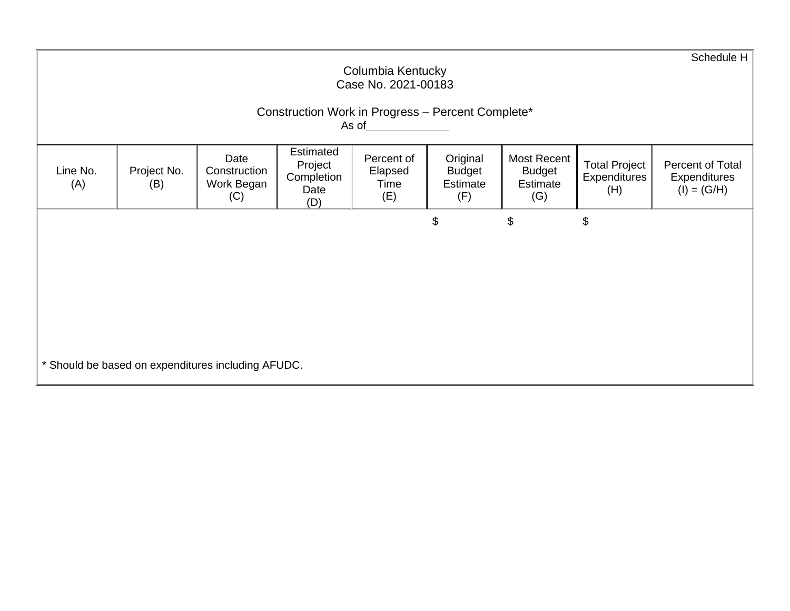|                                                                                                                   | Schedule H<br>Columbia Kentucky<br>Case No. 2021-00183                                                                                                                                                                                                                                                                                                              |  |  |  |                |    |    |  |  |  |  |  |  |
|-------------------------------------------------------------------------------------------------------------------|---------------------------------------------------------------------------------------------------------------------------------------------------------------------------------------------------------------------------------------------------------------------------------------------------------------------------------------------------------------------|--|--|--|----------------|----|----|--|--|--|--|--|--|
| Construction Work in Progress - Percent Complete*<br>As of <u>the contract of the contract of the contract of</u> |                                                                                                                                                                                                                                                                                                                                                                     |  |  |  |                |    |    |  |  |  |  |  |  |
| Line No.<br>(A)                                                                                                   | Estimated<br>Original<br>Date<br>Percent of<br>Most Recent<br><b>Total Project</b><br>Percent of Total<br>Project<br>Project No.<br>Elapsed<br><b>Budget</b><br>Construction<br><b>Budget</b><br>Completion<br>Expenditures<br>Expenditures<br>Estimate<br>Estimate<br>Work Began<br>(B)<br>Time<br>$(I) = (G/H)$<br>Date<br>(H)<br>(F)<br>(G)<br>(C)<br>(E)<br>(D) |  |  |  |                |    |    |  |  |  |  |  |  |
|                                                                                                                   |                                                                                                                                                                                                                                                                                                                                                                     |  |  |  | $\mathfrak{S}$ | \$ | \$ |  |  |  |  |  |  |
|                                                                                                                   |                                                                                                                                                                                                                                                                                                                                                                     |  |  |  |                |    |    |  |  |  |  |  |  |
|                                                                                                                   |                                                                                                                                                                                                                                                                                                                                                                     |  |  |  |                |    |    |  |  |  |  |  |  |
|                                                                                                                   |                                                                                                                                                                                                                                                                                                                                                                     |  |  |  |                |    |    |  |  |  |  |  |  |
|                                                                                                                   | * Should be based on expenditures including AFUDC.                                                                                                                                                                                                                                                                                                                  |  |  |  |                |    |    |  |  |  |  |  |  |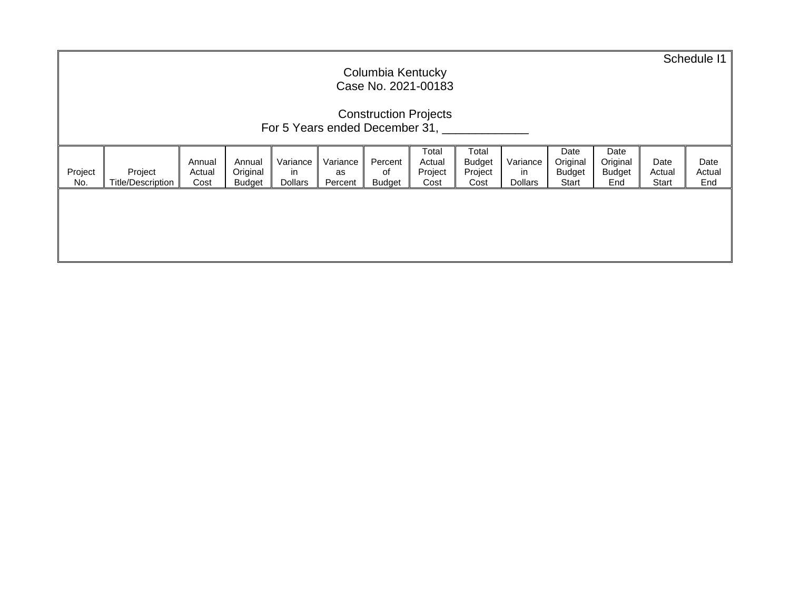| Columbia Kentucky<br>Case No. 2021-00183                       |                                     |                          |                                     |                                   |                           |                                |                                    |                                           |                                  | Schedule 11                                |                                          |                         |                       |
|----------------------------------------------------------------|-------------------------------------|--------------------------|-------------------------------------|-----------------------------------|---------------------------|--------------------------------|------------------------------------|-------------------------------------------|----------------------------------|--------------------------------------------|------------------------------------------|-------------------------|-----------------------|
| <b>Construction Projects</b><br>For 5 Years ended December 31, |                                     |                          |                                     |                                   |                           |                                |                                    |                                           |                                  |                                            |                                          |                         |                       |
| Project<br>No.                                                 | Project<br><b>Title/Description</b> | Annual<br>Actual<br>Cost | Annual<br>Original<br><b>Budget</b> | Variance<br>in.<br><b>Dollars</b> | Variance<br>as<br>Percent | Percent<br>of<br><b>Budget</b> | Total<br>Actual<br>Project<br>Cost | Total<br><b>Budget</b><br>Project<br>Cost | Variance<br>in<br><b>Dollars</b> | Date<br>Original<br><b>Budget</b><br>Start | Date<br>Original<br><b>Budget</b><br>End | Date<br>Actual<br>Start | Date<br>Actual<br>End |
|                                                                |                                     |                          |                                     |                                   |                           |                                |                                    |                                           |                                  |                                            |                                          |                         |                       |
|                                                                |                                     |                          |                                     |                                   |                           |                                |                                    |                                           |                                  |                                            |                                          |                         |                       |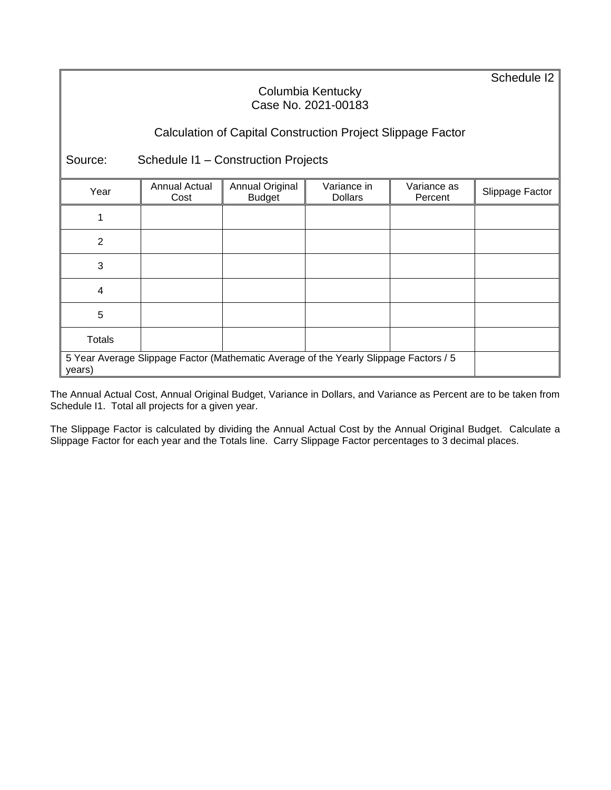Schedule I2

### Columbia Kentucky Case No. 2021-00183

# Calculation of Capital Construction Project Slippage Factor

Source: Schedule I1 – Construction Projects

| Year                                                                                            | Annual Actual<br>Cost | Annual Original<br><b>Budget</b> | Variance in<br><b>Dollars</b> | Variance as<br>Percent | Slippage Factor |
|-------------------------------------------------------------------------------------------------|-----------------------|----------------------------------|-------------------------------|------------------------|-----------------|
|                                                                                                 |                       |                                  |                               |                        |                 |
| $\overline{2}$                                                                                  |                       |                                  |                               |                        |                 |
| 3                                                                                               |                       |                                  |                               |                        |                 |
| $\overline{\mathbf{4}}$                                                                         |                       |                                  |                               |                        |                 |
| 5                                                                                               |                       |                                  |                               |                        |                 |
| <b>Totals</b>                                                                                   |                       |                                  |                               |                        |                 |
| 5 Year Average Slippage Factor (Mathematic Average of the Yearly Slippage Factors / 5<br>years) |                       |                                  |                               |                        |                 |

The Annual Actual Cost, Annual Original Budget, Variance in Dollars, and Variance as Percent are to be taken from Schedule I1. Total all projects for a given year.

The Slippage Factor is calculated by dividing the Annual Actual Cost by the Annual Original Budget. Calculate a Slippage Factor for each year and the Totals line. Carry Slippage Factor percentages to 3 decimal places.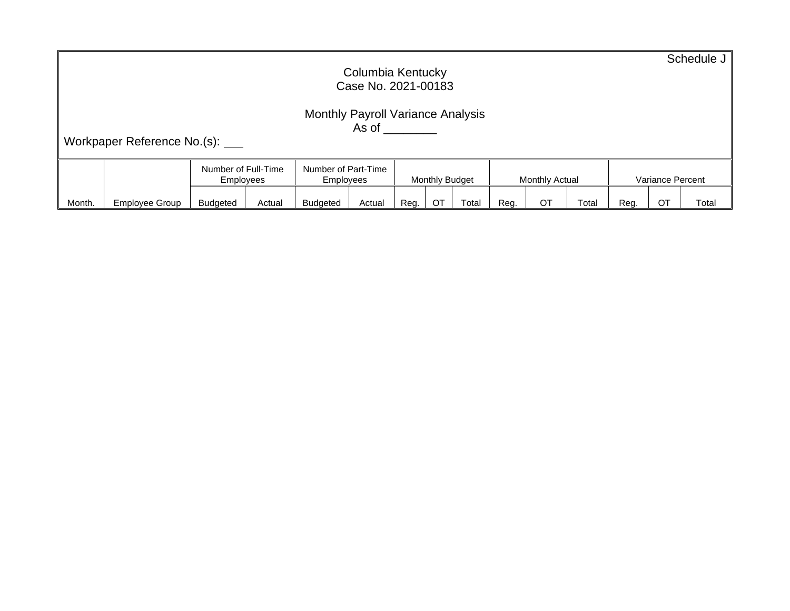|        | Columbia Kentucky<br>Case No. 2021-00183                                                                                                                                                       |                |                                         |        |                                  |        |      |                |       |      |                | Schedule J |      |                  |       |
|--------|------------------------------------------------------------------------------------------------------------------------------------------------------------------------------------------------|----------------|-----------------------------------------|--------|----------------------------------|--------|------|----------------|-------|------|----------------|------------|------|------------------|-------|
|        | <b>Monthly Payroll Variance Analysis</b><br>As of the control of the control of the control of the control of the control of the control of the control of<br>Workpaper Reference No.(s): ____ |                |                                         |        |                                  |        |      |                |       |      |                |            |      |                  |       |
|        |                                                                                                                                                                                                |                | Number of Full-Time<br><b>Employees</b> |        | Number of Part-Time<br>Employees |        |      | Monthly Budget |       |      | Monthly Actual |            |      | Variance Percent |       |
| Month. |                                                                                                                                                                                                | Employee Group | <b>Budgeted</b>                         | Actual | <b>Budgeted</b>                  | Actual | Reg. | ОT             | Total | Reg. | ОT             | Total      | Reg. | ОT               | Total |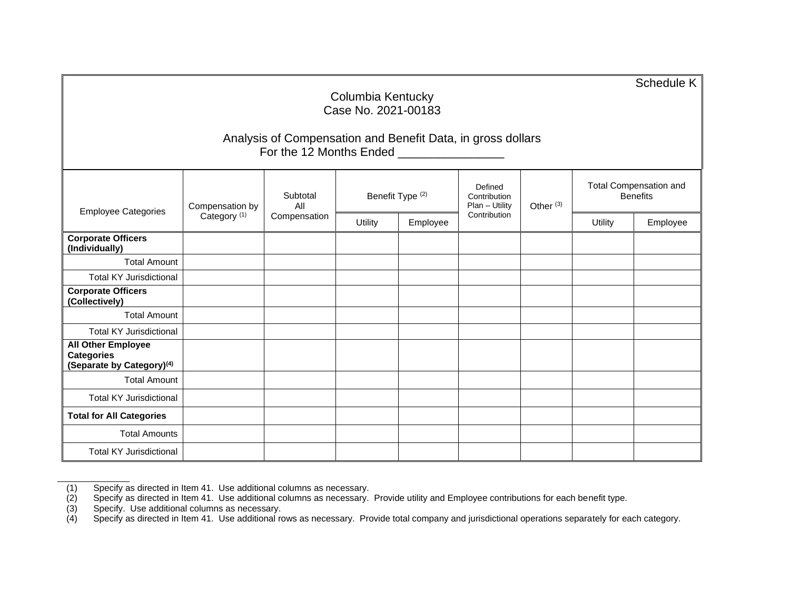| Columbia Kentucky<br>Case No. 2021-00183                                                |                                                                                                                      |                 |                             |          |                                           |                      |                | Schedule K                                       |  |  |
|-----------------------------------------------------------------------------------------|----------------------------------------------------------------------------------------------------------------------|-----------------|-----------------------------|----------|-------------------------------------------|----------------------|----------------|--------------------------------------------------|--|--|
|                                                                                         | Analysis of Compensation and Benefit Data, in gross dollars<br>For the 12 Months Ended <b>Form Advisory</b> Property |                 |                             |          |                                           |                      |                |                                                  |  |  |
|                                                                                         | Compensation by                                                                                                      | Subtotal<br>All | Benefit Type <sup>(2)</sup> |          | Defined<br>Contribution<br>Plan - Utility | Other <sup>(3)</sup> |                | <b>Total Compensation and</b><br><b>Benefits</b> |  |  |
| <b>Employee Categories</b>                                                              | Category <sup>(1)</sup>                                                                                              | Compensation    | Utility                     | Employee | Contribution                              |                      | <b>Utility</b> | Employee                                         |  |  |
| <b>Corporate Officers</b><br>(Individually)                                             |                                                                                                                      |                 |                             |          |                                           |                      |                |                                                  |  |  |
| <b>Total Amount</b>                                                                     |                                                                                                                      |                 |                             |          |                                           |                      |                |                                                  |  |  |
| <b>Total KY Jurisdictional</b>                                                          |                                                                                                                      |                 |                             |          |                                           |                      |                |                                                  |  |  |
| <b>Corporate Officers</b><br>(Collectively)                                             |                                                                                                                      |                 |                             |          |                                           |                      |                |                                                  |  |  |
| <b>Total Amount</b>                                                                     |                                                                                                                      |                 |                             |          |                                           |                      |                |                                                  |  |  |
| <b>Total KY Jurisdictional</b>                                                          |                                                                                                                      |                 |                             |          |                                           |                      |                |                                                  |  |  |
| <b>All Other Employee</b><br><b>Categories</b><br>(Separate by Category) <sup>(4)</sup> |                                                                                                                      |                 |                             |          |                                           |                      |                |                                                  |  |  |
| <b>Total Amount</b>                                                                     |                                                                                                                      |                 |                             |          |                                           |                      |                |                                                  |  |  |
| <b>Total KY Jurisdictional</b>                                                          |                                                                                                                      |                 |                             |          |                                           |                      |                |                                                  |  |  |
| <b>Total for All Categories</b>                                                         |                                                                                                                      |                 |                             |          |                                           |                      |                |                                                  |  |  |
| <b>Total Amounts</b>                                                                    |                                                                                                                      |                 |                             |          |                                           |                      |                |                                                  |  |  |
| <b>Total KY Jurisdictional</b>                                                          |                                                                                                                      |                 |                             |          |                                           |                      |                |                                                  |  |  |

(1) Specify as directed in Item 41. Use additional columns as necessary.

(2) Specify as directed in Item 41. Use additional columns as necessary. Provide utility and Employee contributions for each benefit type.

(3) Specify. Use additional columns as necessary.

(4) Specify as directed in Item 41. Use additional rows as necessary. Provide total company and jurisdictional operations separately for each category.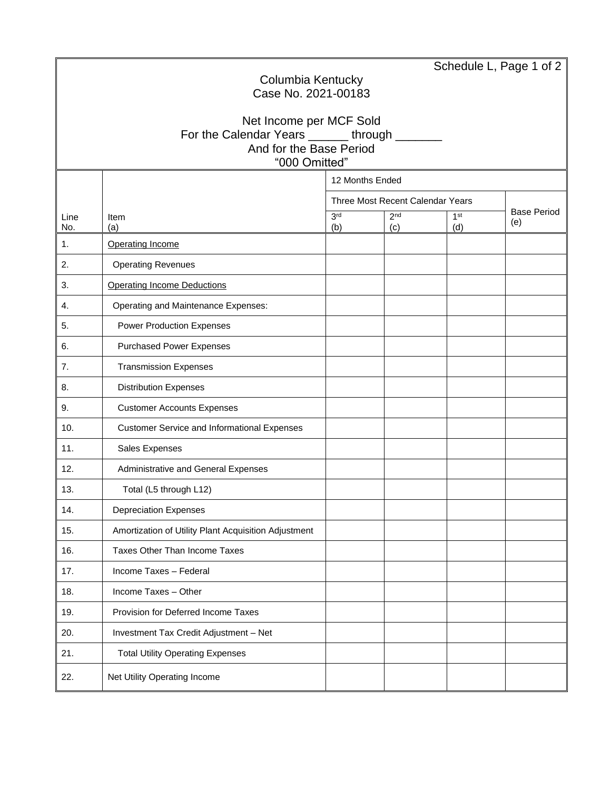|             |                                                                    |                        |                                  | Schedule L, Page 1 of $2 \mid$ |                           |  |  |  |  |
|-------------|--------------------------------------------------------------------|------------------------|----------------------------------|--------------------------------|---------------------------|--|--|--|--|
|             | Columbia Kentucky<br>Case No. 2021-00183                           |                        |                                  |                                |                           |  |  |  |  |
|             |                                                                    |                        |                                  |                                |                           |  |  |  |  |
|             | Net Income per MCF Sold                                            |                        |                                  |                                |                           |  |  |  |  |
|             | For the Calendar Years ______ through _<br>And for the Base Period |                        |                                  |                                |                           |  |  |  |  |
|             | "000 Omitted"                                                      |                        |                                  |                                |                           |  |  |  |  |
|             | 12 Months Ended                                                    |                        |                                  |                                |                           |  |  |  |  |
|             |                                                                    |                        | Three Most Recent Calendar Years |                                |                           |  |  |  |  |
| Line<br>No. | Item<br>(a)                                                        | 3 <sup>rd</sup><br>(b) | 2 <sub>nd</sub><br>(c)           | 1 <sup>st</sup><br>(d)         | <b>Base Period</b><br>(e) |  |  |  |  |
| 1.          | Operating Income                                                   |                        |                                  |                                |                           |  |  |  |  |
| 2.          | <b>Operating Revenues</b>                                          |                        |                                  |                                |                           |  |  |  |  |
| 3.          | <b>Operating Income Deductions</b>                                 |                        |                                  |                                |                           |  |  |  |  |
| 4.          | Operating and Maintenance Expenses:                                |                        |                                  |                                |                           |  |  |  |  |
| 5.          | <b>Power Production Expenses</b>                                   |                        |                                  |                                |                           |  |  |  |  |
| 6.          | <b>Purchased Power Expenses</b>                                    |                        |                                  |                                |                           |  |  |  |  |
| 7.          | <b>Transmission Expenses</b>                                       |                        |                                  |                                |                           |  |  |  |  |
| 8.          | <b>Distribution Expenses</b>                                       |                        |                                  |                                |                           |  |  |  |  |
| 9.          | <b>Customer Accounts Expenses</b>                                  |                        |                                  |                                |                           |  |  |  |  |
| 10.         | <b>Customer Service and Informational Expenses</b>                 |                        |                                  |                                |                           |  |  |  |  |
| 11.         | Sales Expenses                                                     |                        |                                  |                                |                           |  |  |  |  |
| 12.         | Administrative and General Expenses                                |                        |                                  |                                |                           |  |  |  |  |
| 13.         | Total (L5 through L12)                                             |                        |                                  |                                |                           |  |  |  |  |
| 14.         | <b>Depreciation Expenses</b>                                       |                        |                                  |                                |                           |  |  |  |  |
| 15.         | Amortization of Utility Plant Acquisition Adjustment               |                        |                                  |                                |                           |  |  |  |  |
| 16.         | Taxes Other Than Income Taxes                                      |                        |                                  |                                |                           |  |  |  |  |
| 17.         | Income Taxes - Federal                                             |                        |                                  |                                |                           |  |  |  |  |
| 18.         | Income Taxes - Other                                               |                        |                                  |                                |                           |  |  |  |  |
| 19.         | Provision for Deferred Income Taxes                                |                        |                                  |                                |                           |  |  |  |  |
| 20.         | Investment Tax Credit Adjustment - Net                             |                        |                                  |                                |                           |  |  |  |  |
| 21.         | <b>Total Utility Operating Expenses</b>                            |                        |                                  |                                |                           |  |  |  |  |
| 22.         | Net Utility Operating Income                                       |                        |                                  |                                |                           |  |  |  |  |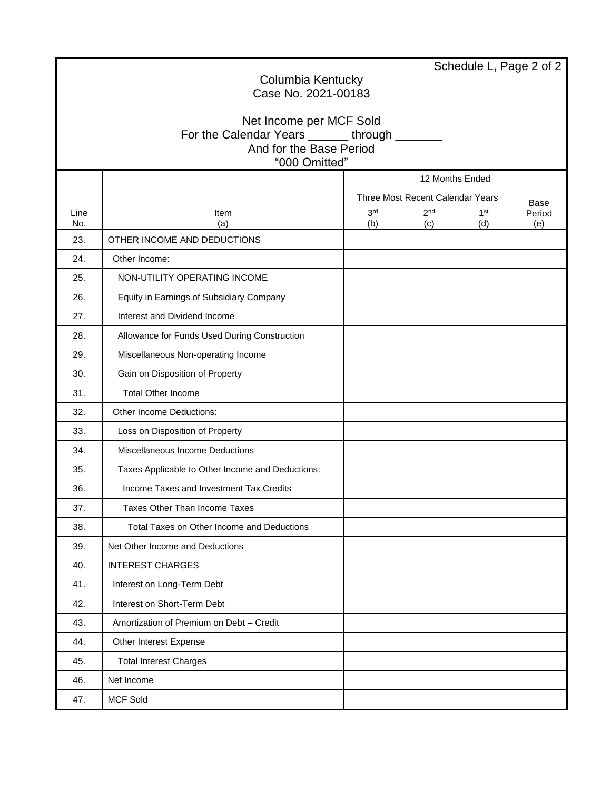|                   |                                                                       |                        |                                  |                        | Schedule L, Page 2 of 2 |  |  |  |  |
|-------------------|-----------------------------------------------------------------------|------------------------|----------------------------------|------------------------|-------------------------|--|--|--|--|
| Columbia Kentucky |                                                                       |                        |                                  |                        |                         |  |  |  |  |
|                   | Case No. 2021-00183                                                   |                        |                                  |                        |                         |  |  |  |  |
|                   | Net Income per MCF Sold                                               |                        |                                  |                        |                         |  |  |  |  |
|                   | For the Calendar Years ______through _____<br>And for the Base Period |                        |                                  |                        |                         |  |  |  |  |
|                   | "000 Omitted"                                                         |                        |                                  |                        |                         |  |  |  |  |
|                   |                                                                       |                        | 12 Months Ended                  |                        |                         |  |  |  |  |
|                   |                                                                       |                        | Three Most Recent Calendar Years |                        | Base                    |  |  |  |  |
| Line<br>No.       | Item<br>(a)                                                           | 3 <sup>rd</sup><br>(b) | 2 <sup>nd</sup><br>(c)           | 1 <sup>st</sup><br>(d) | Period<br>(e)           |  |  |  |  |
| 23.               | OTHER INCOME AND DEDUCTIONS                                           |                        |                                  |                        |                         |  |  |  |  |
| 24.               | Other Income:                                                         |                        |                                  |                        |                         |  |  |  |  |
| 25.               | NON-UTILITY OPERATING INCOME                                          |                        |                                  |                        |                         |  |  |  |  |
| 26.               | Equity in Earnings of Subsidiary Company                              |                        |                                  |                        |                         |  |  |  |  |
| 27.               | Interest and Dividend Income                                          |                        |                                  |                        |                         |  |  |  |  |
| 28.               | Allowance for Funds Used During Construction                          |                        |                                  |                        |                         |  |  |  |  |
| 29.               | Miscellaneous Non-operating Income                                    |                        |                                  |                        |                         |  |  |  |  |
| 30.               | Gain on Disposition of Property                                       |                        |                                  |                        |                         |  |  |  |  |
| 31.               | <b>Total Other Income</b>                                             |                        |                                  |                        |                         |  |  |  |  |
| 32.               | Other Income Deductions:                                              |                        |                                  |                        |                         |  |  |  |  |
| 33.               | Loss on Disposition of Property                                       |                        |                                  |                        |                         |  |  |  |  |
| 34.               | Miscellaneous Income Deductions                                       |                        |                                  |                        |                         |  |  |  |  |
| 35.               | Taxes Applicable to Other Income and Deductions:                      |                        |                                  |                        |                         |  |  |  |  |
| 36.               | Income Taxes and Investment Tax Credits                               |                        |                                  |                        |                         |  |  |  |  |
| 37.               | Taxes Other Than Income Taxes                                         |                        |                                  |                        |                         |  |  |  |  |
| 38.               | Total Taxes on Other Income and Deductions                            |                        |                                  |                        |                         |  |  |  |  |
| 39.               | Net Other Income and Deductions                                       |                        |                                  |                        |                         |  |  |  |  |
| 40.               | <b>INTEREST CHARGES</b>                                               |                        |                                  |                        |                         |  |  |  |  |
| 41.               | Interest on Long-Term Debt                                            |                        |                                  |                        |                         |  |  |  |  |
| 42.               | Interest on Short-Term Debt                                           |                        |                                  |                        |                         |  |  |  |  |
| 43.               | Amortization of Premium on Debt - Credit                              |                        |                                  |                        |                         |  |  |  |  |
| 44.               | Other Interest Expense                                                |                        |                                  |                        |                         |  |  |  |  |
| 45.               | <b>Total Interest Charges</b>                                         |                        |                                  |                        |                         |  |  |  |  |
| 46.               | Net Income                                                            |                        |                                  |                        |                         |  |  |  |  |
| 47.               | <b>MCF Sold</b>                                                       |                        |                                  |                        |                         |  |  |  |  |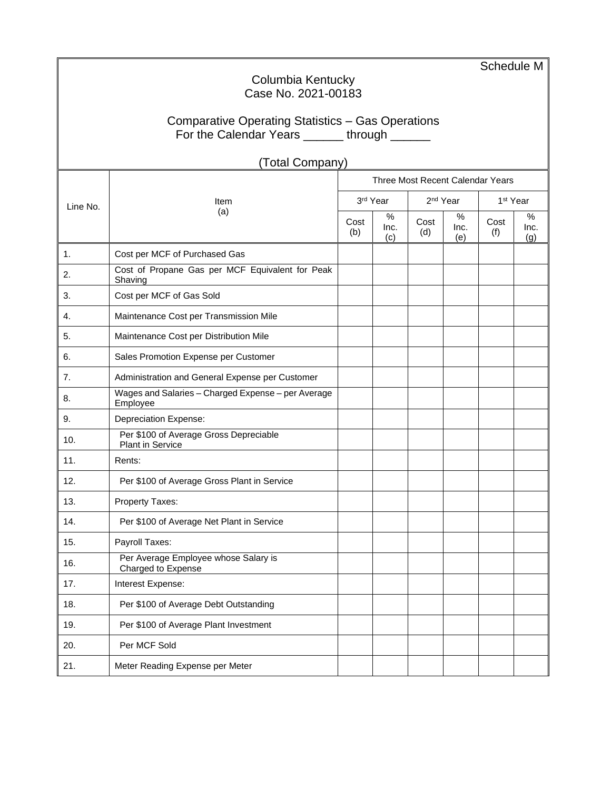|          |                                                                |             |                  |                      |                  | Schedule M                       |                  |  |  |  |
|----------|----------------------------------------------------------------|-------------|------------------|----------------------|------------------|----------------------------------|------------------|--|--|--|
|          | Columbia Kentucky<br>Case No. 2021-00183                       |             |                  |                      |                  |                                  |                  |  |  |  |
|          |                                                                |             |                  |                      |                  |                                  |                  |  |  |  |
|          | Comparative Operating Statistics - Gas Operations              |             |                  |                      |                  |                                  |                  |  |  |  |
|          | For the Calendar Years ______ through ______                   |             |                  |                      |                  |                                  |                  |  |  |  |
|          | (Total Company)                                                |             |                  |                      |                  |                                  |                  |  |  |  |
|          |                                                                |             |                  |                      |                  | Three Most Recent Calendar Years |                  |  |  |  |
| Line No. | Item                                                           |             | 3rd Year         | 2 <sup>nd</sup> Year |                  | 1 <sup>st</sup> Year             |                  |  |  |  |
|          | (a)                                                            | Cost<br>(b) | ℅<br>Inc.<br>(c) | Cost<br>(d)          | %<br>Inc.<br>(e) | Cost<br>(f)                      | %<br>Inc.<br>(g) |  |  |  |
| 1.       | Cost per MCF of Purchased Gas                                  |             |                  |                      |                  |                                  |                  |  |  |  |
| 2.       | Cost of Propane Gas per MCF Equivalent for Peak<br>Shaving     |             |                  |                      |                  |                                  |                  |  |  |  |
| 3.       | Cost per MCF of Gas Sold                                       |             |                  |                      |                  |                                  |                  |  |  |  |
| 4.       | Maintenance Cost per Transmission Mile                         |             |                  |                      |                  |                                  |                  |  |  |  |
| 5.       | Maintenance Cost per Distribution Mile                         |             |                  |                      |                  |                                  |                  |  |  |  |
| 6.       | Sales Promotion Expense per Customer                           |             |                  |                      |                  |                                  |                  |  |  |  |
| 7.       | Administration and General Expense per Customer                |             |                  |                      |                  |                                  |                  |  |  |  |
| 8.       | Wages and Salaries - Charged Expense - per Average<br>Employee |             |                  |                      |                  |                                  |                  |  |  |  |
| 9.       | <b>Depreciation Expense:</b>                                   |             |                  |                      |                  |                                  |                  |  |  |  |
| 10.      | Per \$100 of Average Gross Depreciable<br>Plant in Service     |             |                  |                      |                  |                                  |                  |  |  |  |
| 11.      | Rents:                                                         |             |                  |                      |                  |                                  |                  |  |  |  |
| 12.      | Per \$100 of Average Gross Plant in Service                    |             |                  |                      |                  |                                  |                  |  |  |  |
| 13.      | Property Taxes:                                                |             |                  |                      |                  |                                  |                  |  |  |  |
| 14.      | Per \$100 of Average Net Plant in Service                      |             |                  |                      |                  |                                  |                  |  |  |  |
| 15.      | Payroll Taxes:                                                 |             |                  |                      |                  |                                  |                  |  |  |  |
| 16.      | Per Average Employee whose Salary is<br>Charged to Expense     |             |                  |                      |                  |                                  |                  |  |  |  |
| 17.      | Interest Expense:                                              |             |                  |                      |                  |                                  |                  |  |  |  |
| 18.      | Per \$100 of Average Debt Outstanding                          |             |                  |                      |                  |                                  |                  |  |  |  |
| 19.      | Per \$100 of Average Plant Investment                          |             |                  |                      |                  |                                  |                  |  |  |  |
| 20.      | Per MCF Sold                                                   |             |                  |                      |                  |                                  |                  |  |  |  |
| 21.      | Meter Reading Expense per Meter                                |             |                  |                      |                  |                                  |                  |  |  |  |